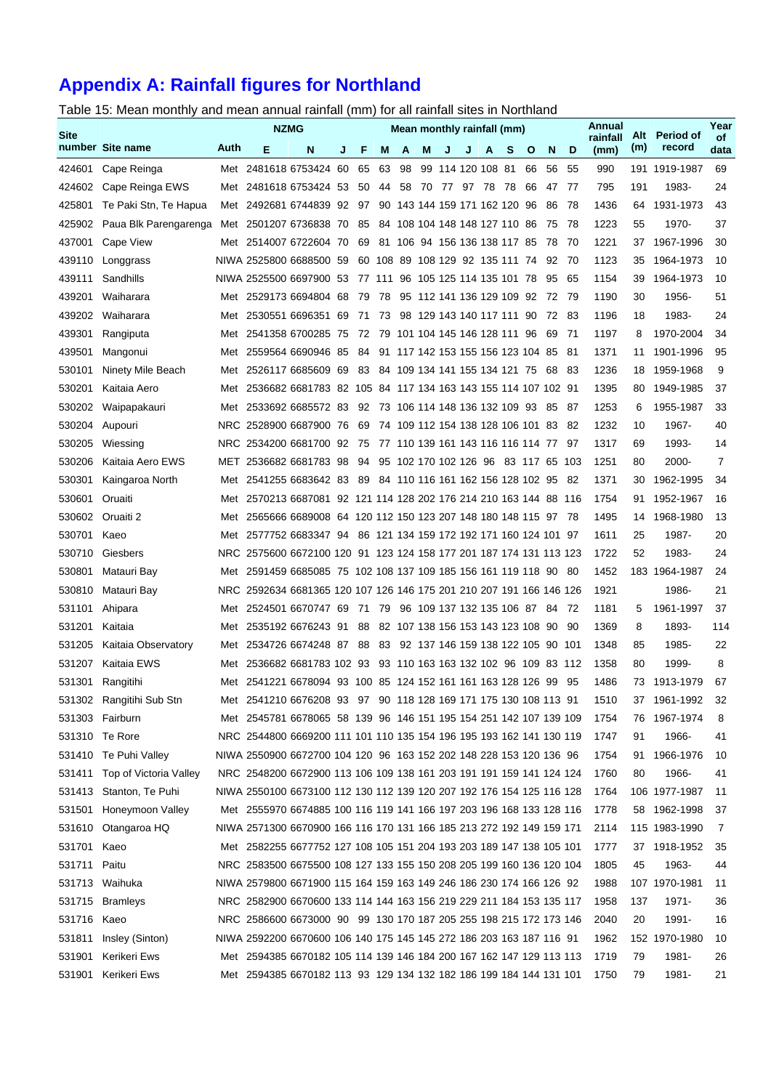# **Appendix A: Rainfall figures for Northland**

Table 15: Mean monthly and mean annual rainfall (mm) for all rainfall sites in Northland

|              |                          |      |                                                                      | <b>NZMG</b> |   |    |    |    |   | Mean monthly rainfall (mm)            |   |   |          |              |    |      | Annual           |            |                     | Year       |
|--------------|--------------------------|------|----------------------------------------------------------------------|-------------|---|----|----|----|---|---------------------------------------|---|---|----------|--------------|----|------|------------------|------------|---------------------|------------|
| Site         | number Site name         | Auth | Е                                                                    | N           | J | F  | М  | A  | М | <b>J</b>                              | J | A | <b>S</b> | $\mathbf{o}$ | N. | D    | rainfall<br>(mm) | Alt<br>(m) | Period of<br>record | οf<br>data |
|              | 424601 Cape Reinga       |      | Met 2481618 6753424 60 65                                            |             |   |    | 63 | 98 |   | 99 114 120 108 81                     |   |   |          | 66           | 56 | -55  | 990              |            | 191 1919-1987       | 69         |
|              | 424602 Cape Reinga EWS   |      | Met 2481618 6753424 53                                               |             |   | 50 | 44 |    |   | 58 70 77 97 78 78                     |   |   |          | 66           | 47 | -77  | 795              | 191        | 1983-               | 24         |
| 425801       | Te Paki Stn, Te Hapua    |      | Met 2492681 6744839 92 97                                            |             |   |    |    |    |   | 90 143 144 159 171 162 120 96 86      |   |   |          |              |    | -78  | 1436             | 64         | 1931-1973           | 43         |
| 425902       | Paua Blk Parengarenga    |      | Met 2501207 6736838 70 85                                            |             |   |    |    |    |   | 84 108 104 148 148 127 110 86 75      |   |   |          |              |    | -78  | 1223             | 55         | 1970-               | 37         |
| 437001       | Cape View                |      | Met 2514007 6722604 70 69                                            |             |   |    |    |    |   | 81 106 94 156 136 138 117 85 78       |   |   |          |              |    | - 70 | 1221             | 37         | 1967-1996           | 30         |
| 439110       | Longgrass                |      | NIWA 2525800 6688500 59                                              |             |   |    |    |    |   | 60 108 89 108 129 92 135 111 74 92 70 |   |   |          |              |    |      | 1123             | 35         | 1964-1973           | 10         |
| 439111       | Sandhills                |      | NIWA 2525500 6697900 53 77 111 96 105 125 114 135 101 78             |             |   |    |    |    |   |                                       |   |   |          |              | 95 | -65  | 1154             | 39         | 1964-1973           | 10         |
| 439201       | Waiharara                |      | Met 2529173 6694804 68 79 78 95 112 141 136 129 109 92 72 79         |             |   |    |    |    |   |                                       |   |   |          |              |    |      | 1190             | 30         | 1956-               | 51         |
| 439202       | Waiharara                |      | Met 2530551 6696351 69 71 73                                         |             |   |    |    |    |   | 98 129 143 140 117 111 90 72 83       |   |   |          |              |    |      | 1196             | 18         | 1983-               | 24         |
| 439301       | Rangiputa                |      | Met 2541358 6700285 75 72 79 101 104 145 146 128 111 96              |             |   |    |    |    |   |                                       |   |   |          |              | 69 | - 71 | 1197             | 8          | 1970-2004           | 34         |
| 439501       | Mangonui                 |      | Met 2559564 6690946 85 84 91 117 142 153 155 156 123 104 85 81       |             |   |    |    |    |   |                                       |   |   |          |              |    |      | 1371             | 11         | 1901-1996           | 95         |
| 530101       | Ninety Mile Beach        | Met  | 2526117 6685609 69 83 84 109 134 141 155 134 121 75 68               |             |   |    |    |    |   |                                       |   |   |          |              |    | -83  | 1236             | 18         | 1959-1968           | 9          |
| 530201       | Kaitaia Aero             |      | Met 2536682 6681783 82 105 84 117 134 163 143 155 114 107 102 91     |             |   |    |    |    |   |                                       |   |   |          |              |    |      | 1395             | 80         | 1949-1985           | 37         |
| 530202       | Waipapakauri             |      | Met 2533692 6685572 83 92 73 106 114 148 136 132 109 93 85 87        |             |   |    |    |    |   |                                       |   |   |          |              |    |      | 1253             | 6          | 1955-1987           | 33         |
| 530204       | Aupouri                  |      | NRC 2528900 6687900 76 69 74 109 112 154 138 128 106 101 83          |             |   |    |    |    |   |                                       |   |   |          |              |    | -82  | 1232             | 10         | 1967-               | 40         |
| 530205       | Wiessing                 |      | NRC 2534200 6681700 92 75 77 110 139 161 143 116 116 114 77 97       |             |   |    |    |    |   |                                       |   |   |          |              |    |      | 1317             | 69         | 1993-               | 14         |
| 530206       | Kaitaia Aero EWS         |      | MET 2536682 6681783 98 94 95 102 170 102 126 96 83 117 65 103        |             |   |    |    |    |   |                                       |   |   |          |              |    |      | 1251             | 80         | 2000-               | 7          |
| 530301       | Kaingaroa North          |      | Met 2541255 6683642 83 89 84 110 116 161 162 156 128 102 95 82       |             |   |    |    |    |   |                                       |   |   |          |              |    |      | 1371             | 30         | 1962-1995           | 34         |
| 530601       | Oruaiti                  |      | Met 2570213 6687081 92 121 114 128 202 176 214 210 163 144 88 116    |             |   |    |    |    |   |                                       |   |   |          |              |    |      | 1754             | 91         | 1952-1967           | 16         |
| 530602       | Oruaiti 2                | Met  | 2565666 6689008 64 120 112 150 123 207 148 180 148 115 97 78         |             |   |    |    |    |   |                                       |   |   |          |              |    |      | 1495             | 14         | 1968-1980           | 13         |
| 530701       | Kaeo                     |      | Met 2577752 6683347 94 86 121 134 159 172 192 171 160 124 101 97     |             |   |    |    |    |   |                                       |   |   |          |              |    |      | 1611             | 25         | 1987-               | 20         |
| 530710       | Giesbers                 |      | NRC 2575600 6672100 120 91 123 124 158 177 201 187 174 131 113 123   |             |   |    |    |    |   |                                       |   |   |          |              |    |      | 1722             | 52         | 1983-               | 24         |
| 530801       | Matauri Bay              |      | Met 2591459 6685085 75 102 108 137 109 185 156 161 119 118 90 80     |             |   |    |    |    |   |                                       |   |   |          |              |    |      | 1452             |            | 183 1964-1987       | 24         |
| 530810       | Matauri Bay              |      | NRC 2592634 6681365 120 107 126 146 175 201 210 207 191 166 146 126  |             |   |    |    |    |   |                                       |   |   |          |              |    |      | 1921             |            | 1986-               | 21         |
| 531101       | Ahipara                  |      | Met 2524501 6670747 69 71 79 96 109 137 132 135 106 87 84 72         |             |   |    |    |    |   |                                       |   |   |          |              |    |      | 1181             | 5          | 1961-1997           | 37         |
| 531201       | Kaitaia                  |      | Met 2535192 6676243 91 88 82 107 138 156 153 143 123 108 90          |             |   |    |    |    |   |                                       |   |   |          |              |    | -90  | 1369             | 8          | 1893-               | 114        |
| 531205       | Kaitaia Observatory      |      | Met 2534726 6674248 87 88                                            |             |   |    |    |    |   | 83 92 137 146 159 138 122 105 90 101  |   |   |          |              |    |      | 1348             | 85         | 1985-               | 22         |
| 531207       | Kaitaia EWS              |      | Met 2536682 6681783 102 93 93 110 163 163 132 102 96 109 83 112      |             |   |    |    |    |   |                                       |   |   |          |              |    |      | 1358             | 80         | 1999-               | 8          |
|              | 531301 Rangitihi         |      | Met 2541221 6678094 93 100 85 124 152 161 161 163 128 126 99 95      |             |   |    |    |    |   |                                       |   |   |          |              |    |      | 1486             |            | 73 1913-1979        | 67         |
|              | 531302 Rangitihi Sub Stn |      | Met 2541210 6676208 93 97 90 118 128 169 171 175 130 108 113 91      |             |   |    |    |    |   |                                       |   |   |          |              |    |      | 1510             | 37         | 1961-1992           | 32         |
|              | 531303 Fairburn          |      | Met 2545781 6678065 58 139 96 146 151 195 154 251 142 107 139 109    |             |   |    |    |    |   |                                       |   |   |          |              |    |      | 1754             | 76         | 1967-1974           | 8          |
| 531310       | Te Rore                  |      | NRC 2544800 6669200 111 101 110 135 154 196 195 193 162 141 130 119  |             |   |    |    |    |   |                                       |   |   |          |              |    |      | 1747             | 91         | 1966-               | 41         |
| 531410       | Te Puhi Valley           |      | NIWA 2550900 6672700 104 120 96 163 152 202 148 228 153 120 136 96   |             |   |    |    |    |   |                                       |   |   |          |              |    |      | 1754             | 91         | 1966-1976           | 10         |
| 531411       | Top of Victoria Valley   |      | NRC 2548200 6672900 113 106 109 138 161 203 191 191 159 141 124 124  |             |   |    |    |    |   |                                       |   |   |          |              |    |      | 1760             | 80         | 1966-               | 41         |
| 531413       | Stanton, Te Puhi         |      | NIWA 2550100 6673100 112 130 112 139 120 207 192 176 154 125 116 128 |             |   |    |    |    |   |                                       |   |   |          |              |    |      | 1764             |            | 106 1977-1987       | 11         |
| 531501       | Honeymoon Valley         |      | Met 2555970 6674885 100 116 119 141 166 197 203 196 168 133 128 116  |             |   |    |    |    |   |                                       |   |   |          |              |    |      | 1778             |            | 58 1962-1998        | 37         |
| 531610       | Otangaroa HQ             |      | NIWA 2571300 6670900 166 116 170 131 166 185 213 272 192 149 159 171 |             |   |    |    |    |   |                                       |   |   |          |              |    |      | 2114             |            | 115 1983-1990       | 7          |
| 531701       | Kaeo                     |      | Met 2582255 6677752 127 108 105 151 204 193 203 189 147 138 105 101  |             |   |    |    |    |   |                                       |   |   |          |              |    |      | 1777             |            | 37 1918-1952        | 35         |
| 531711 Paitu |                          |      | NRC 2583500 6675500 108 127 133 155 150 208 205 199 160 136 120 104  |             |   |    |    |    |   |                                       |   |   |          |              |    |      | 1805             | 45         | 1963-               | 44         |
| 531713       | Waihuka                  |      | NIWA 2579800 6671900 115 164 159 163 149 246 186 230 174 166 126 92  |             |   |    |    |    |   |                                       |   |   |          |              |    |      | 1988             |            | 107 1970-1981       | 11         |
| 531715       | <b>Bramleys</b>          |      | NRC 2582900 6670600 133 114 144 163 156 219 229 211 184 153 135 117  |             |   |    |    |    |   |                                       |   |   |          |              |    |      | 1958             | 137        | 1971-               | 36         |
| 531716       | Kaeo                     |      | NRC 2586600 6673000 90 99 130 170 187 205 255 198 215 172 173 146    |             |   |    |    |    |   |                                       |   |   |          |              |    |      | 2040             | 20         | 1991-               | 16         |
| 531811       | Insley (Sinton)          |      | NIWA 2592200 6670600 106 140 175 145 145 272 186 203 163 187 116 91  |             |   |    |    |    |   |                                       |   |   |          |              |    |      | 1962             |            | 152 1970-1980       | 10         |
| 531901       | Kerikeri Ews             |      | Met 2594385 6670182 105 114 139 146 184 200 167 162 147 129 113 113  |             |   |    |    |    |   |                                       |   |   |          |              |    |      | 1719             | 79         | 1981-               | 26         |
| 531901       | Kerikeri Ews             |      | Met 2594385 6670182 113 93 129 134 132 182 186 199 184 144 131 101   |             |   |    |    |    |   |                                       |   |   |          |              |    |      | 1750             | 79         | 1981-               | 21         |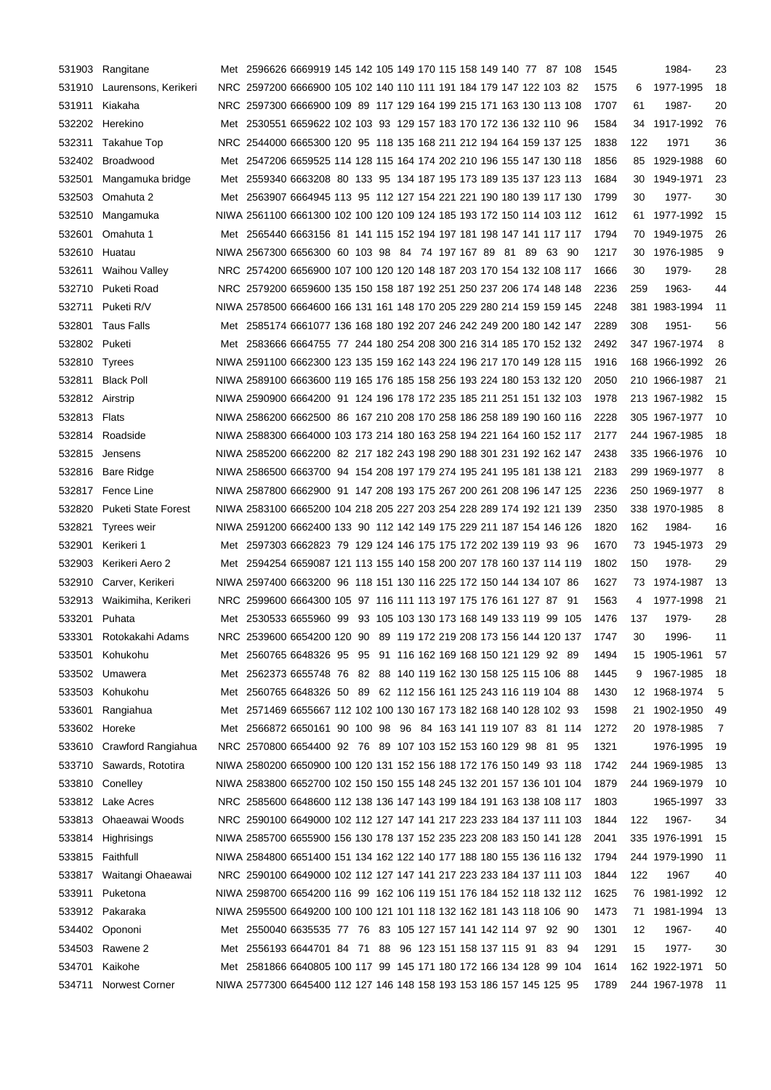|                  | 531903 Rangitane                |  | Met 2596626 6669919 145 142 105 149 170 115 158 149 140 77 87 108    |  |  |  |  |  |  | 1545         |     | 1984-                          | 23      |
|------------------|---------------------------------|--|----------------------------------------------------------------------|--|--|--|--|--|--|--------------|-----|--------------------------------|---------|
| 531910           | Laurensons, Kerikeri            |  | NRC 2597200 6666900 105 102 140 110 111 191 184 179 147 122 103 82   |  |  |  |  |  |  | 1575         | 6   | 1977-1995                      | 18      |
| 531911           | Kiakaha                         |  | NRC 2597300 6666900 109 89 117 129 164 199 215 171 163 130 113 108   |  |  |  |  |  |  | 1707         | 61  | 1987-                          | 20      |
| 532202           | Herekino                        |  | Met 2530551 6659622 102 103 93 129 157 183 170 172 136 132 110 96    |  |  |  |  |  |  | 1584         | 34  | 1917-1992                      | 76      |
| 532311           | Takahue Top                     |  | NRC 2544000 6665300 120 95 118 135 168 211 212 194 164 159 137 125   |  |  |  |  |  |  | 1838         | 122 | 1971                           | 36      |
| 532402           | Broadwood                       |  | Met 2547206 6659525 114 128 115 164 174 202 210 196 155 147 130 118  |  |  |  |  |  |  | 1856         | 85  | 1929-1988                      | 60      |
| 532501           | Mangamuka bridge                |  | Met 2559340 6663208 80 133 95 134 187 195 173 189 135 137 123 113    |  |  |  |  |  |  | 1684         | 30  | 1949-1971                      | 23      |
| 532503           | Omahuta 2                       |  | Met 2563907 6664945 113 95 112 127 154 221 221 190 180 139 117 130   |  |  |  |  |  |  | 1799         | 30  | 1977-                          | 30      |
| 532510           | Mangamuka                       |  | NIWA 2561100 6661300 102 100 120 109 124 185 193 172 150 114 103 112 |  |  |  |  |  |  | 1612         | 61  | 1977-1992                      | 15      |
| 532601           | Omahuta 1                       |  | Met 2565440 6663156 81 141 115 152 194 197 181 198 147 141 117 117   |  |  |  |  |  |  | 1794         | 70  | 1949-1975                      | 26      |
| 532610           | Huatau                          |  | NIWA 2567300 6656300 60 103 98 84 74 197 167 89 81 89 63 90          |  |  |  |  |  |  | 1217         | 30  | 1976-1985                      | 9       |
| 532611           | Waihou Valley                   |  | NRC 2574200 6656900 107 100 120 120 148 187 203 170 154 132 108 117  |  |  |  |  |  |  | 1666         | 30  | 1979-                          | 28      |
| 532710           | Puketi Road                     |  | NRC 2579200 6659600 135 150 158 187 192 251 250 237 206 174 148 148  |  |  |  |  |  |  | 2236         | 259 | 1963-                          | 44      |
| 532711           | Puketi R/V                      |  | NIWA 2578500 6664600 166 131 161 148 170 205 229 280 214 159 159 145 |  |  |  |  |  |  | 2248         |     | 381 1983-1994                  | 11      |
| 532801           | Taus Falls                      |  | Met 2585174 6661077 136 168 180 192 207 246 242 249 200 180 142 147  |  |  |  |  |  |  | 2289         | 308 | 1951-                          | 56      |
| 532802 Puketi    |                                 |  | Met 2583666 6664755 77 244 180 254 208 300 216 314 185 170 152 132   |  |  |  |  |  |  | 2492         |     | 347 1967-1974                  | 8       |
| 532810           | Tyrees                          |  | NIWA 2591100 6662300 123 135 159 162 143 224 196 217 170 149 128 115 |  |  |  |  |  |  | 1916         |     | 168 1966-1992                  | 26      |
| 532811           | <b>Black Poll</b>               |  | NIWA 2589100 6663600 119 165 176 185 158 256 193 224 180 153 132 120 |  |  |  |  |  |  | 2050         |     | 210 1966-1987                  | 21      |
| 532812 Airstrip  |                                 |  | NIWA 2590900 6664200 91 124 196 178 172 235 185 211 251 151 132 103  |  |  |  |  |  |  | 1978         |     | 213 1967-1982                  | 15      |
| 532813           | Flats                           |  | NIWA 2586200 6662500 86 167 210 208 170 258 186 258 189 190 160 116  |  |  |  |  |  |  | 2228         |     | 305 1967-1977                  | 10      |
| 532814           | Roadside                        |  | NIWA 2588300 6664000 103 173 214 180 163 258 194 221 164 160 152 117 |  |  |  |  |  |  | 2177         |     | 244 1967-1985                  | 18      |
|                  |                                 |  |                                                                      |  |  |  |  |  |  |              |     |                                |         |
| 532815<br>532816 | Jensens                         |  | NIWA 2585200 6662200 82 217 182 243 198 290 188 301 231 192 162 147  |  |  |  |  |  |  | 2438<br>2183 |     | 335 1966-1976<br>299 1969-1977 | 10<br>8 |
| 532817           | <b>Bare Ridge</b><br>Fence Line |  | NIWA 2586500 6663700 94 154 208 197 179 274 195 241 195 181 138 121  |  |  |  |  |  |  | 2236         |     |                                | 8       |
|                  |                                 |  | NIWA 2587800 6662900 91 147 208 193 175 267 200 261 208 196 147 125  |  |  |  |  |  |  |              |     | 250 1969-1977                  |         |
| 532820           | <b>Puketi State Forest</b>      |  | NIWA 2583100 6665200 104 218 205 227 203 254 228 289 174 192 121 139 |  |  |  |  |  |  | 2350         |     | 338 1970-1985                  | 8       |
| 532821           | Tyrees weir                     |  | NIWA 2591200 6662400 133 90 112 142 149 175 229 211 187 154 146 126  |  |  |  |  |  |  | 1820         | 162 | 1984-                          | 16      |
| 532901           | Kerikeri 1                      |  | Met 2597303 6662823 79 129 124 146 175 175 172 202 139 119 93 96     |  |  |  |  |  |  | 1670         | 73  | 1945-1973                      | 29      |
| 532903           | Kerikeri Aero 2                 |  | Met 2594254 6659087 121 113 155 140 158 200 207 178 160 137 114 119  |  |  |  |  |  |  | 1802         | 150 | 1978-                          | 29      |
| 532910           | Carver, Kerikeri                |  | NIWA 2597400 6663200 96 118 151 130 116 225 172 150 144 134 107 86   |  |  |  |  |  |  | 1627         | 73  | 1974-1987                      | 13      |
| 532913           | Waikimiha, Kerikeri             |  | NRC 2599600 6664300 105 97 116 111 113 197 175 176 161 127 87 91     |  |  |  |  |  |  | 1563         | 4   | 1977-1998                      | 21      |
| 533201           | Puhata                          |  | Met 2530533 6655960 99 93 105 103 130 173 168 149 133 119 99 105     |  |  |  |  |  |  | 1476         | 137 | 1979-                          | 28      |
|                  | 533301 Rotokakahi Adams         |  | NRC 2539600 6654200 120 90 89 119 172 219 208 173 156 144 120 137    |  |  |  |  |  |  | 1747         | 30  | 1996-                          | 11      |
| 533501           | Kohukohu                        |  | Met 2560765 6648326 95 95 91 116 162 169 168 150 121 129 92 89       |  |  |  |  |  |  | 1494         |     | 15 1905-1961                   | 57      |
| 533502           | Umawera                         |  | Met 2562373 6655748 76 82 88 140 119 162 130 158 125 115 106 88      |  |  |  |  |  |  | 1445         | 9   | 1967-1985                      | 18      |
| 533503           | Kohukohu                        |  | Met 2560765 6648326 50 89 62 112 156 161 125 243 116 119 104 88      |  |  |  |  |  |  | 1430         | 12  | 1968-1974                      | 5       |
| 533601           | Rangiahua                       |  | Met 2571469 6655667 112 102 100 130 167 173 182 168 140 128 102 93   |  |  |  |  |  |  | 1598         | 21  | 1902-1950                      | 49      |
| 533602           | Horeke                          |  | Met 2566872 6650161 90 100 98 96 84 163 141 119 107 83 81 114        |  |  |  |  |  |  | 1272         | 20  | 1978-1985                      | -7      |
| 533610           | Crawford Rangiahua              |  | NRC 2570800 6654400 92 76 89 107 103 152 153 160 129 98 81 95        |  |  |  |  |  |  | 1321         |     | 1976-1995                      | 19      |
| 533710           | Sawards, Rototira               |  | NIWA 2580200 6650900 100 120 131 152 156 188 172 176 150 149 93 118  |  |  |  |  |  |  | 1742         |     | 244 1969-1985                  | 13      |
| 533810           | Conelley                        |  | NIWA 2583800 6652700 102 150 150 155 148 245 132 201 157 136 101 104 |  |  |  |  |  |  | 1879         |     | 244 1969-1979                  | 10      |
| 533812           | Lake Acres                      |  | NRC 2585600 6648600 112 138 136 147 143 199 184 191 163 138 108 117  |  |  |  |  |  |  | 1803         |     | 1965-1997                      | 33      |
| 533813           | Ohaeawai Woods                  |  | NRC 2590100 6649000 102 112 127 147 141 217 223 233 184 137 111 103  |  |  |  |  |  |  | 1844         | 122 | 1967-                          | 34      |
| 533814           | Highrisings                     |  | NIWA 2585700 6655900 156 130 178 137 152 235 223 208 183 150 141 128 |  |  |  |  |  |  | 2041         |     | 335 1976-1991                  | 15      |
| 533815           | Faithfull                       |  | NIWA 2584800 6651400 151 134 162 122 140 177 188 180 155 136 116 132 |  |  |  |  |  |  | 1794         |     | 244 1979-1990                  | 11      |
| 533817           | Waitangi Ohaeawai               |  | NRC 2590100 6649000 102 112 127 147 141 217 223 233 184 137 111 103  |  |  |  |  |  |  | 1844         | 122 | 1967                           | 40      |
| 533911           | Puketona                        |  | NIWA 2598700 6654200 116 99 162 106 119 151 176 184 152 118 132 112  |  |  |  |  |  |  | 1625         | 76  | 1981-1992                      | 12      |
| 533912           | Pakaraka                        |  | NIWA 2595500 6649200 100 100 121 101 118 132 162 181 143 118 106 90  |  |  |  |  |  |  | 1473         | 71  | 1981-1994                      | 13      |
| 534402           | Opononi                         |  | Met 2550040 6635535 77 76 83 105 127 157 141 142 114 97 92 90        |  |  |  |  |  |  | 1301         | 12  | 1967-                          | 40      |
| 534503           | Rawene 2                        |  | Met 2556193 6644701 84 71 88 96 123 151 158 137 115 91 83 94         |  |  |  |  |  |  | 1291         | 15  | 1977-                          | 30      |
| 534701           | Kaikohe                         |  | Met 2581866 6640805 100 117 99 145 171 180 172 166 134 128 99 104    |  |  |  |  |  |  | 1614         |     | 162 1922-1971                  | 50      |
| 534711           | Norwest Corner                  |  | NIWA 2577300 6645400 112 127 146 148 158 193 153 186 157 145 125 95  |  |  |  |  |  |  | 1789         |     | 244 1967-1978                  | 11      |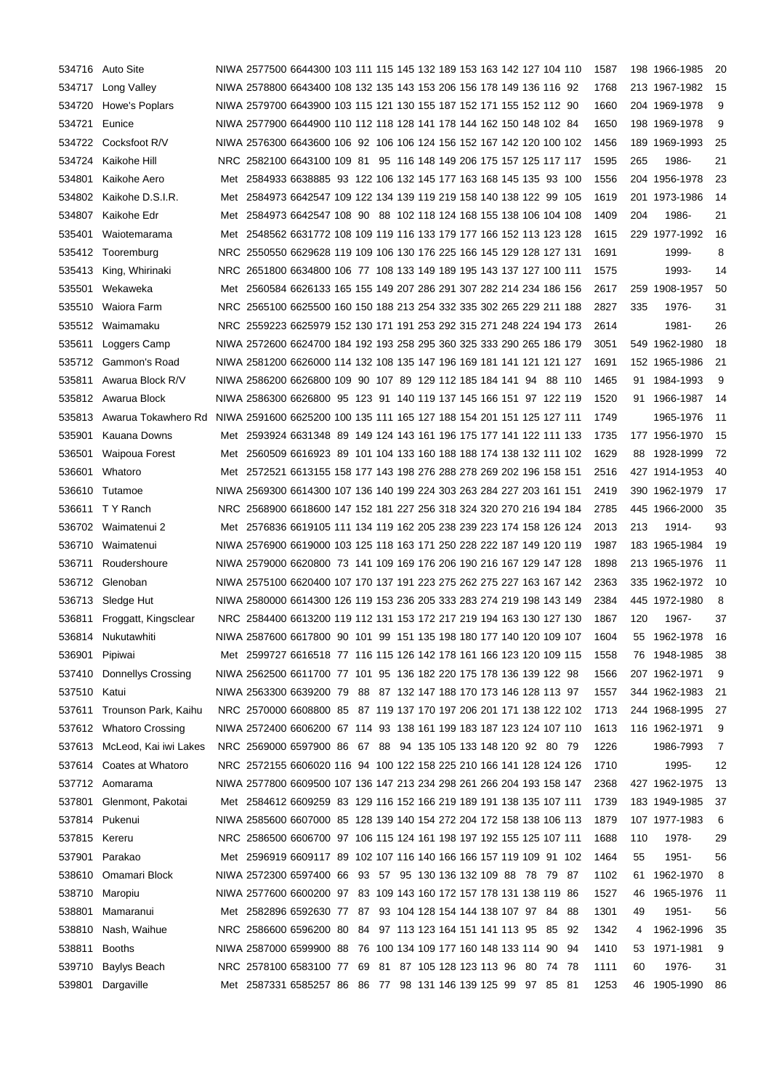|        | 534716 Auto Site                                                                         |  | NIWA 2577500 6644300 103 111 115 145 132 189 153 163 142 127 104 110 |  |  |  |  |  |    | 1587 |     | 198 1966-1985 | 20   |
|--------|------------------------------------------------------------------------------------------|--|----------------------------------------------------------------------|--|--|--|--|--|----|------|-----|---------------|------|
| 534717 | Long Valley                                                                              |  | NIWA 2578800 6643400 108 132 135 143 153 206 156 178 149 136 116 92  |  |  |  |  |  |    | 1768 |     | 213 1967-1982 | 15   |
| 534720 | Howe's Poplars                                                                           |  | NIWA 2579700 6643900 103 115 121 130 155 187 152 171 155 152 112 90  |  |  |  |  |  |    | 1660 |     | 204 1969-1978 | 9    |
| 534721 | Eunice                                                                                   |  | NIWA 2577900 6644900 110 112 118 128 141 178 144 162 150 148 102 84  |  |  |  |  |  |    | 1650 |     | 198 1969-1978 | 9    |
| 534722 | Cocksfoot R/V                                                                            |  | NIWA 2576300 6643600 106 92 106 106 124 156 152 167 142 120 100 102  |  |  |  |  |  |    | 1456 |     | 189 1969-1993 | 25   |
| 534724 | Kaikohe Hill                                                                             |  | NRC 2582100 6643100 109 81 95 116 148 149 206 175 157 125 117 117    |  |  |  |  |  |    | 1595 | 265 | 1986-         | 21   |
| 534801 | Kaikohe Aero                                                                             |  | Met 2584933 6638885 93 122 106 132 145 177 163 168 145 135 93 100    |  |  |  |  |  |    | 1556 |     | 204 1956-1978 | 23   |
| 534802 | Kaikohe D.S.I.R.                                                                         |  | Met 2584973 6642547 109 122 134 139 119 219 158 140 138 122 99 105   |  |  |  |  |  |    | 1619 |     | 201 1973-1986 | 14   |
| 534807 | Kaikohe Edr                                                                              |  | Met 2584973 6642547 108 90 88 102 118 124 168 155 138 106 104 108    |  |  |  |  |  |    | 1409 | 204 | 1986-         | 21   |
| 535401 | Waiotemarama                                                                             |  | Met 2548562 6631772 108 109 119 116 133 179 177 166 152 113 123 128  |  |  |  |  |  |    | 1615 |     | 229 1977-1992 | 16   |
| 535412 | Tooremburg                                                                               |  | NRC 2550550 6629628 119 109 106 130 176 225 166 145 129 128 127 131  |  |  |  |  |  |    | 1691 |     | 1999-         | 8    |
| 535413 | King, Whirinaki                                                                          |  | NRC 2651800 6634800 106 77 108 133 149 189 195 143 137 127 100 111   |  |  |  |  |  |    | 1575 |     | 1993-         | 14   |
| 535501 | Wekaweka                                                                                 |  | Met 2560584 6626133 165 155 149 207 286 291 307 282 214 234 186 156  |  |  |  |  |  |    | 2617 |     | 259 1908-1957 | 50   |
|        |                                                                                          |  |                                                                      |  |  |  |  |  |    | 2827 |     |               | 31   |
| 535510 | Waiora Farm                                                                              |  | NRC 2565100 6625500 160 150 188 213 254 332 335 302 265 229 211 188  |  |  |  |  |  |    |      | 335 | 1976-         |      |
|        | 535512 Waimamaku                                                                         |  | NRC 2559223 6625979 152 130 171 191 253 292 315 271 248 224 194 173  |  |  |  |  |  |    | 2614 |     | 1981-         | 26   |
|        | 535611 Loggers Camp                                                                      |  | NIWA 2572600 6624700 184 192 193 258 295 360 325 333 290 265 186 179 |  |  |  |  |  |    | 3051 |     | 549 1962-1980 | 18   |
| 535712 | Gammon's Road                                                                            |  | NIWA 2581200 6626000 114 132 108 135 147 196 169 181 141 121 121 127 |  |  |  |  |  |    | 1691 |     | 152 1965-1986 | 21   |
| 535811 | Awarua Block R/V                                                                         |  | NIWA 2586200 6626800 109 90 107 89 129 112 185 184 141 94 88 110     |  |  |  |  |  |    | 1465 | 91  | 1984-1993     | 9    |
|        | 535812 Awarua Block                                                                      |  | NIWA 2586300 6626800 95 123 91 140 119 137 145 166 151 97 122 119    |  |  |  |  |  |    | 1520 | 91  | 1966-1987     | 14   |
| 535813 | Awarua Tokawhero Rd NIWA 2591600 6625200 100 135 111 165 127 188 154 201 151 125 127 111 |  |                                                                      |  |  |  |  |  |    | 1749 |     | 1965-1976     | -11  |
| 535901 | Kauana Downs                                                                             |  | Met 2593924 6631348 89 149 124 143 161 196 175 177 141 122 111 133   |  |  |  |  |  |    | 1735 |     | 177 1956-1970 | 15   |
| 536501 | Waipoua Forest                                                                           |  | Met 2560509 6616923 89 101 104 133 160 188 188 174 138 132 111 102   |  |  |  |  |  |    | 1629 | 88  | 1928-1999     | 72   |
| 536601 | Whatoro                                                                                  |  | Met 2572521 6613155 158 177 143 198 276 288 278 269 202 196 158 151  |  |  |  |  |  |    | 2516 |     | 427 1914-1953 | 40   |
| 536610 | Tutamoe                                                                                  |  | NIWA 2569300 6614300 107 136 140 199 224 303 263 284 227 203 161 151 |  |  |  |  |  |    | 2419 |     | 390 1962-1979 | 17   |
| 536611 | T Y Ranch                                                                                |  | NRC 2568900 6618600 147 152 181 227 256 318 324 320 270 216 194 184  |  |  |  |  |  |    | 2785 |     | 445 1966-2000 | 35   |
| 536702 | Waimatenui 2                                                                             |  | Met 2576836 6619105 111 134 119 162 205 238 239 223 174 158 126 124  |  |  |  |  |  |    | 2013 | 213 | 1914-         | 93   |
| 536710 | Waimatenui                                                                               |  | NIWA 2576900 6619000 103 125 118 163 171 250 228 222 187 149 120 119 |  |  |  |  |  |    | 1987 |     | 183 1965-1984 | 19   |
| 536711 | Roudershoure                                                                             |  | NIWA 2579000 6620800 73 141 109 169 176 206 190 216 167 129 147 128  |  |  |  |  |  |    | 1898 |     | 213 1965-1976 | 11   |
|        | 536712 Glenoban                                                                          |  | NIWA 2575100 6620400 107 170 137 191 223 275 262 275 227 163 167 142 |  |  |  |  |  |    | 2363 |     | 335 1962-1972 | - 10 |
|        | 536713 Sledge Hut                                                                        |  | NIWA 2580000 6614300 126 119 153 236 205 333 283 274 219 198 143 149 |  |  |  |  |  |    | 2384 |     | 445 1972-1980 | 8    |
| 536811 | Froggatt, Kingsclear                                                                     |  | NRC 2584400 6613200 119 112 131 153 172 217 219 194 163 130 127 130  |  |  |  |  |  |    | 1867 | 120 | 1967-         | 37   |
|        | 536814 Nukutawhiti                                                                       |  | NIWA 2587600 6617800 90 101 99 151 135 198 180 177 140 120 109 107   |  |  |  |  |  |    | 1604 |     | 55 1962-1978  | -16  |
| 536901 | Pipiwai                                                                                  |  | Met 2599727 6616518 77 116 115 126 142 178 161 166 123 120 109 115   |  |  |  |  |  |    | 1558 |     | 76 1948-1985  | 38   |
| 537410 | Donnellys Crossing                                                                       |  | NIWA 2562500 6611700 77 101 95 136 182 220 175 178 136 139 122 98    |  |  |  |  |  |    | 1566 |     | 207 1962-1971 | 9    |
| 537510 | Katui                                                                                    |  | NIWA 2563300 6639200 79 88 87 132 147 188 170 173 146 128 113 97     |  |  |  |  |  |    | 1557 |     | 344 1962-1983 | 21   |
| 537611 | Trounson Park, Kaihu                                                                     |  | NRC 2570000 6608800 85 87 119 137 170 197 206 201 171 138 122 102    |  |  |  |  |  |    | 1713 |     | 244 1968-1995 | 27   |
| 537612 | <b>Whatoro Crossing</b>                                                                  |  | NIWA 2572400 6606200 67 114 93 138 161 199 183 187 123 124 107 110   |  |  |  |  |  |    | 1613 |     | 116 1962-1971 | 9    |
| 537613 | McLeod, Kai iwi Lakes                                                                    |  | NRC 2569000 6597900 86 67 88 94 135 105 133 148 120 92 80 79         |  |  |  |  |  |    | 1226 |     | 1986-7993     | 7    |
| 537614 | Coates at Whatoro                                                                        |  | NRC 2572155 6606020 116 94 100 122 158 225 210 166 141 128 124 126   |  |  |  |  |  |    | 1710 |     | 1995-         | 12   |
| 537712 | Aomarama                                                                                 |  | NIWA 2577800 6609500 107 136 147 213 234 298 261 266 204 193 158 147 |  |  |  |  |  |    | 2368 |     | 427 1962-1975 | 13   |
| 537801 | Glenmont, Pakotai                                                                        |  | Met 2584612 6609259 83 129 116 152 166 219 189 191 138 135 107 111   |  |  |  |  |  |    | 1739 |     | 183 1949-1985 | 37   |
| 537814 | Pukenui                                                                                  |  | NIWA 2585600 6607000 85 128 139 140 154 272 204 172 158 138 106 113  |  |  |  |  |  |    | 1879 |     | 107 1977-1983 | 6    |
| 537815 | Kereru                                                                                   |  | NRC 2586500 6606700 97 106 115 124 161 198 197 192 155 125 107 111   |  |  |  |  |  |    | 1688 | 110 | 1978-         | 29   |
| 537901 | Parakao                                                                                  |  | Met 2596919 6609117 89 102 107 116 140 166 166 157 119 109 91 102    |  |  |  |  |  |    | 1464 | 55  | 1951-         | 56   |
|        |                                                                                          |  |                                                                      |  |  |  |  |  |    |      |     |               | 8    |
| 538610 | Omamari Block                                                                            |  | NIWA 2572300 6597400 66 93 57 95 130 136 132 109 88 78 79 87         |  |  |  |  |  |    | 1102 | 61  | 1962-1970     |      |
| 538710 | Maropiu                                                                                  |  | NIWA 2577600 6600200 97 83 109 143 160 172 157 178 131 138 119 86    |  |  |  |  |  |    | 1527 | 46  | 1965-1976     | 11   |
| 538801 | Mamaranui                                                                                |  | Met 2582896 6592630 77 87 93 104 128 154 144 138 107 97 84 88        |  |  |  |  |  |    | 1301 | 49  | 1951-         | 56   |
| 538810 | Nash, Waihue                                                                             |  | NRC 2586600 6596200 80 84 97 113 123 164 151 141 113 95 85           |  |  |  |  |  | 92 | 1342 | 4   | 1962-1996     | 35   |
| 538811 | <b>Booths</b>                                                                            |  | NIWA 2587000 6599900 88 76 100 134 109 177 160 148 133 114 90 94     |  |  |  |  |  |    | 1410 | 53  | 1971-1981     | 9    |
| 539710 | <b>Baylys Beach</b>                                                                      |  | NRC 2578100 6583100 77 69 81 87 105 128 123 113 96 80 74 78          |  |  |  |  |  |    | 1111 | 60  | 1976-         | 31   |
| 539801 | Dargaville                                                                               |  | Met 2587331 6585257 86 86 77 98 131 146 139 125 99 97 85 81          |  |  |  |  |  |    | 1253 | 46  | 1905-1990     | 86   |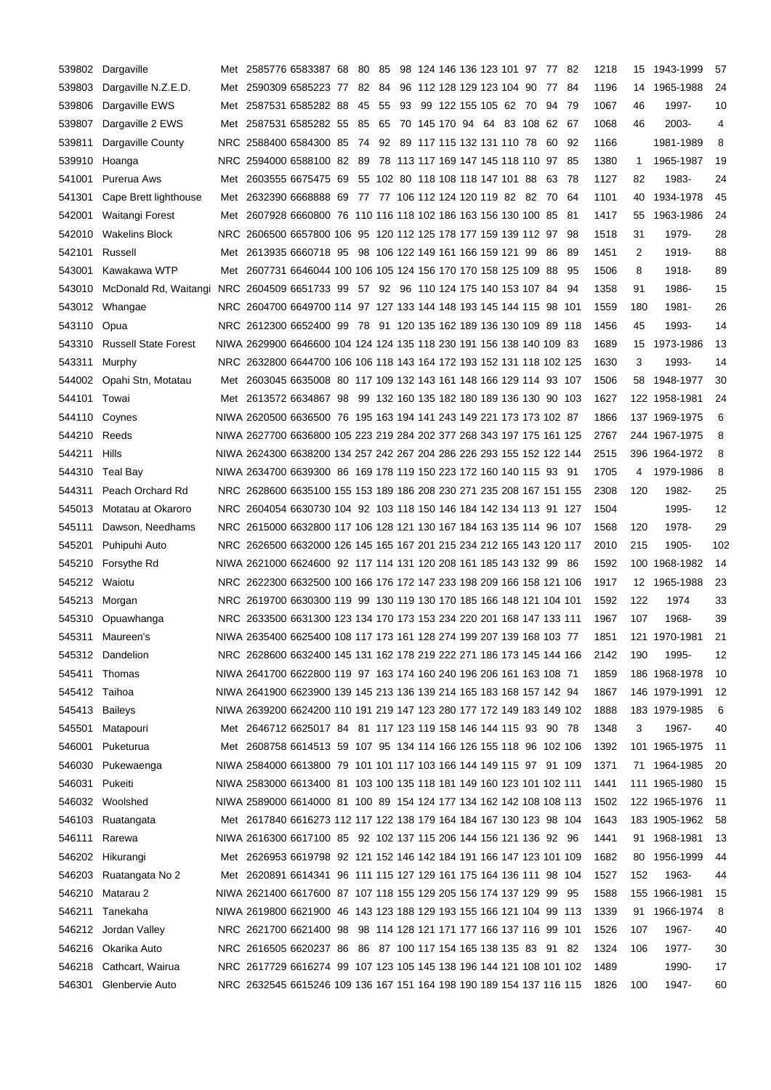| 539802       | Dargaville                                                                          |  | Met 2585776 6583387 68 80 85 98 124 146 136 123 101 97 77            |  |  |  |  |  | -82  | 1218 | 15  | 1943-1999     | 57  |
|--------------|-------------------------------------------------------------------------------------|--|----------------------------------------------------------------------|--|--|--|--|--|------|------|-----|---------------|-----|
| 539803       | Dargaville N.Z.E.D.                                                                 |  | Met 2590309 6585223 77 82 84 96 112 128 129 123 104 90 77            |  |  |  |  |  | -84  | 1196 |     | 14 1965-1988  | 24  |
| 539806       | Dargaville EWS                                                                      |  | Met 2587531 6585282 88 45 55 93 99 122 155 105 62 70 94              |  |  |  |  |  | -79  | 1067 | 46  | 1997-         | 10  |
| 539807       | Dargaville 2 EWS                                                                    |  | Met 2587531 6585282 55 85 65 70 145 170 94 64 83 108 62 67           |  |  |  |  |  |      | 1068 | 46  | 2003-         | 4   |
| 539811       | Dargaville County                                                                   |  | NRC 2588400 6584300 85 74 92 89 117 115 132 131 110 78 60 92         |  |  |  |  |  |      | 1166 |     | 1981-1989     | 8   |
| 539910       | Hoanga                                                                              |  | NRC 2594000 6588100 82 89 78 113 117 169 147 145 118 110 97 85       |  |  |  |  |  |      | 1380 | 1   | 1965-1987     | 19  |
| 541001       | Purerua Aws                                                                         |  | Met 2603555 6675475 69 55 102 80 118 108 118 147 101 88 63           |  |  |  |  |  | - 78 | 1127 | 82  | 1983-         | 24  |
| 541301       | Cape Brett lighthouse                                                               |  | Met 2632390 6668888 69 77 77 106 112 124 120 119 82 82 70            |  |  |  |  |  | -64  | 1101 | 40  | 1934-1978     | 45  |
| 542001       | Waitangi Forest                                                                     |  | Met 2607928 6660800 76 110 116 118 102 186 163 156 130 100 85        |  |  |  |  |  | -81  | 1417 | 55  | 1963-1986     | 24  |
| 542010       | <b>Wakelins Block</b>                                                               |  | NRC 2606500 6657800 106 95 120 112 125 178 177 159 139 112 97 98     |  |  |  |  |  |      | 1518 | 31  | 1979-         | 28  |
| 542101       | Russell                                                                             |  | Met 2613935 6660718 95 98 106 122 149 161 166 159 121 99 86          |  |  |  |  |  | -89  | 1451 | 2   | 1919-         | 88  |
| 543001       | Kawakawa WTP                                                                        |  | Met 2607731 6646044 100 106 105 124 156 170 170 158 125 109 88       |  |  |  |  |  | -95  | 1506 | 8   | 1918-         | 89  |
| 543010       | McDonald Rd, Waitangi NRC 2604509 6651733 99 57 92 96 110 124 175 140 153 107 84 94 |  |                                                                      |  |  |  |  |  |      | 1358 | 91  | 1986-         | 15  |
| 543012       | Whangae                                                                             |  | NRC 2604700 6649700 114 97 127 133 144 148 193 145 144 115 98 101    |  |  |  |  |  |      | 1559 | 180 | 1981-         | 26  |
| 543110 Opua  |                                                                                     |  | NRC 2612300 6652400 99 78 91 120 135 162 189 136 130 109 89 118      |  |  |  |  |  |      | 1456 | 45  | 1993-         | 14  |
| 543310       | <b>Russell State Forest</b>                                                         |  | NIWA 2629900 6646600 104 124 124 135 118 230 191 156 138 140 109 83  |  |  |  |  |  |      | 1689 | 15  | 1973-1986     | 13  |
| 543311       | Murphy                                                                              |  | NRC 2632800 6644700 106 106 118 143 164 172 193 152 131 118 102 125  |  |  |  |  |  |      | 1630 | 3   | 1993-         | 14  |
| 544002       | Opahi Stn, Motatau                                                                  |  | Met 2603045 6635008 80 117 109 132 143 161 148 166 129 114 93 107    |  |  |  |  |  |      | 1506 | 58  | 1948-1977     | 30  |
| 544101 Towai |                                                                                     |  | Met 2613572 6634867 98 99 132 160 135 182 180 189 136 130 90 103     |  |  |  |  |  |      | 1627 |     | 122 1958-1981 | 24  |
| 544110       | Coynes                                                                              |  | NIWA 2620500 6636500 76 195 163 194 141 243 149 221 173 173 102 87   |  |  |  |  |  |      | 1866 |     | 137 1969-1975 | 6   |
| 544210       | Reeds                                                                               |  | NIWA 2627700 6636800 105 223 219 284 202 377 268 343 197 175 161 125 |  |  |  |  |  |      | 2767 |     | 244 1967-1975 | 8   |
| 544211       | Hills                                                                               |  | NIWA 2624300 6638200 134 257 242 267 204 286 226 293 155 152 122 144 |  |  |  |  |  |      | 2515 |     | 396 1964-1972 | 8   |
| 544310       | Teal Bay                                                                            |  | NIWA 2634700 6639300 86 169 178 119 150 223 172 160 140 115 93 91    |  |  |  |  |  |      | 1705 | 4   | 1979-1986     | 8   |
| 544311       | Peach Orchard Rd                                                                    |  | NRC 2628600 6635100 155 153 189 186 208 230 271 235 208 167 151 155  |  |  |  |  |  |      | 2308 | 120 | 1982-         | 25  |
| 545013       | Motatau at Okaroro                                                                  |  | NRC 2604054 6630730 104 92 103 118 150 146 184 142 134 113 91 127    |  |  |  |  |  |      | 1504 |     | 1995-         | 12  |
| 545111       | Dawson, Needhams                                                                    |  | NRC 2615000 6632800 117 106 128 121 130 167 184 163 135 114 96 107   |  |  |  |  |  |      | 1568 | 120 | 1978-         | 29  |
| 545201       | Puhipuhi Auto                                                                       |  | NRC 2626500 6632000 126 145 165 167 201 215 234 212 165 143 120 117  |  |  |  |  |  |      | 2010 | 215 | 1905-         | 102 |
| 545210       | Forsythe Rd                                                                         |  | NIWA 2621000 6624600 92 117 114 131 120 208 161 185 143 132 99 86    |  |  |  |  |  |      | 1592 |     | 100 1968-1982 | 14  |
| 545212       | Waiotu                                                                              |  | NRC 2622300 6632500 100 166 176 172 147 233 198 209 166 158 121 106  |  |  |  |  |  |      | 1917 |     | 12 1965-1988  | 23  |
| 545213       | Morgan                                                                              |  | NRC 2619700 6630300 119 99 130 119 130 170 185 166 148 121 104 101   |  |  |  |  |  |      | 1592 | 122 | 1974          | 33  |
|              | 545310 Opuawhanga                                                                   |  | NRC 2633500 6631300 123 134 170 173 153 234 220 201 168 147 133 111  |  |  |  |  |  |      | 1967 | 107 | 1968-         | 39  |
|              | 545311 Maureen's                                                                    |  | NIWA 2635400 6625400 108 117 173 161 128 274 199 207 139 168 103 77  |  |  |  |  |  |      | 1851 |     | 121 1970-1981 | 21  |
|              | 545312 Dandelion                                                                    |  | NRC 2628600 6632400 145 131 162 178 219 222 271 186 173 145 144 166  |  |  |  |  |  |      | 2142 | 190 | 1995-         | 12  |
| 545411       | Thomas                                                                              |  | NIWA 2641700 6622800 119 97 163 174 160 240 196 206 161 163 108 71   |  |  |  |  |  |      | 1859 |     | 186 1968-1978 | 10  |
| 545412       | Taihoa                                                                              |  | NIWA 2641900 6623900 139 145 213 136 139 214 165 183 168 157 142 94  |  |  |  |  |  |      | 1867 |     | 146 1979-1991 | 12  |
| 545413       | <b>Baileys</b>                                                                      |  | NIWA 2639200 6624200 110 191 219 147 123 280 177 172 149 183 149 102 |  |  |  |  |  |      | 1888 |     | 183 1979-1985 | 6   |
| 545501       | Matapouri                                                                           |  | Met 2646712 6625017 84 81 117 123 119 158 146 144 115 93 90 78       |  |  |  |  |  |      | 1348 | 3   | 1967-         | 40  |
| 546001       | Puketurua                                                                           |  | Met 2608758 6614513 59 107 95 134 114 166 126 155 118 96 102 106     |  |  |  |  |  |      | 1392 |     | 101 1965-1975 | 11  |
| 546030       | Pukewaenga                                                                          |  | NIWA 2584000 6613800 79 101 101 117 103 166 144 149 115 97 91 109    |  |  |  |  |  |      | 1371 | 71  | 1964-1985     | 20  |
| 546031       | Pukeiti                                                                             |  | NIWA 2583000 6613400 81 103 100 135 118 181 149 160 123 101 102 111  |  |  |  |  |  |      | 1441 |     | 111 1965-1980 | 15  |
| 546032       | Woolshed                                                                            |  | NIWA 2589000 6614000 81 100 89 154 124 177 134 162 142 108 108 113   |  |  |  |  |  |      | 1502 |     | 122 1965-1976 | 11  |
| 546103       | Ruatangata                                                                          |  | Met 2617840 6616273 112 117 122 138 179 164 184 167 130 123 98 104   |  |  |  |  |  |      | 1643 |     | 183 1905-1962 | 58  |
| 546111       | Rarewa                                                                              |  | NIWA 2616300 6617100 85 92 102 137 115 206 144 156 121 136 92 96     |  |  |  |  |  |      | 1441 | 91  | 1968-1981     | 13  |
| 546202       | Hikurangi                                                                           |  | Met 2626953 6619798 92 121 152 146 142 184 191 166 147 123 101 109   |  |  |  |  |  |      | 1682 |     | 80 1956-1999  | 44  |
| 546203       | Ruatangata No 2                                                                     |  | Met 2620891 6614341 96 111 115 127 129 161 175 164 136 111 98 104    |  |  |  |  |  |      | 1527 | 152 | 1963-         | 44  |
| 546210       | Matarau 2                                                                           |  | NIWA 2621400 6617600 87 107 118 155 129 205 156 174 137 129 99 95    |  |  |  |  |  |      | 1588 |     | 155 1966-1981 | 15  |
| 546211       | Tanekaha                                                                            |  | NIWA 2619800 6621900 46 143 123 188 129 193 155 166 121 104 99 113   |  |  |  |  |  |      | 1339 | 91  | 1966-1974     | 8   |
| 546212       | Jordan Valley                                                                       |  | NRC 2621700 6621400 98 98 114 128 121 171 177 166 137 116 99 101     |  |  |  |  |  |      | 1526 | 107 | 1967-         | 40  |
| 546216       | Okarika Auto                                                                        |  | NRC 2616505 6620237 86 86 87 100 117 154 165 138 135 83 91 82        |  |  |  |  |  |      | 1324 | 106 | 1977-         | 30  |
| 546218       | Cathcart, Wairua                                                                    |  | NRC 2617729 6616274 99 107 123 105 145 138 196 144 121 108 101 102   |  |  |  |  |  |      | 1489 |     | 1990-         | 17  |
| 546301       | Glenbervie Auto                                                                     |  | NRC 2632545 6615246 109 136 167 151 164 198 190 189 154 137 116 115  |  |  |  |  |  |      | 1826 | 100 | 1947-         | 60  |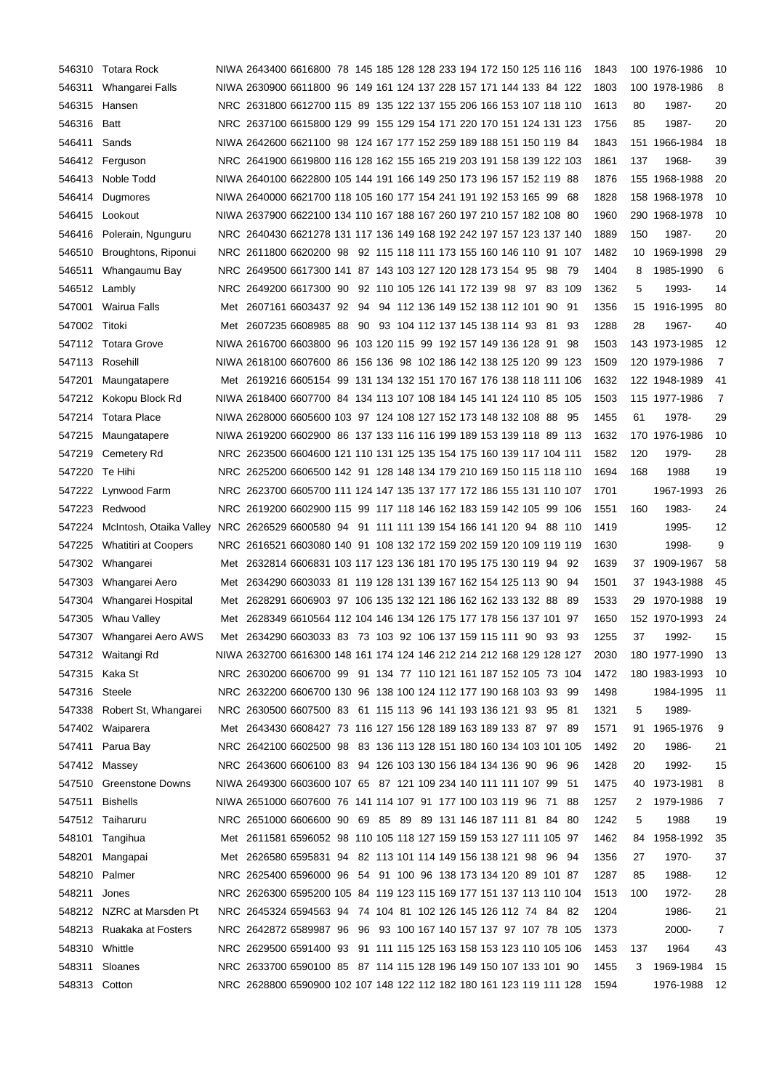|        | 546310 Totara Rock                                                                      | NIWA 2643400 6616800 78 145 185 128 128 233 194 172 150 125 116 116  |  |  |  |  |  |  |      | 1843 |     | 100 1976-1986 | 10 |
|--------|-----------------------------------------------------------------------------------------|----------------------------------------------------------------------|--|--|--|--|--|--|------|------|-----|---------------|----|
| 546311 | Whangarei Falls                                                                         | NIWA 2630900 6611800 96 149 161 124 137 228 157 171 144 133 84 122   |  |  |  |  |  |  |      | 1803 |     | 100 1978-1986 | 8  |
| 546315 | Hansen                                                                                  | NRC 2631800 6612700 115 89 135 122 137 155 206 166 153 107 118 110   |  |  |  |  |  |  |      | 1613 | 80  | 1987-         | 20 |
| 546316 | <b>Batt</b>                                                                             | NRC 2637100 6615800 129 99 155 129 154 171 220 170 151 124 131 123   |  |  |  |  |  |  |      | 1756 | 85  | 1987-         | 20 |
| 546411 | Sands                                                                                   | NIWA 2642600 6621100 98 124 167 177 152 259 189 188 151 150 119 84   |  |  |  |  |  |  |      | 1843 |     | 151 1966-1984 | 18 |
|        | 546412 Ferguson                                                                         | NRC 2641900 6619800 116 128 162 155 165 219 203 191 158 139 122 103  |  |  |  |  |  |  |      | 1861 | 137 | 1968-         | 39 |
| 546413 | Noble Todd                                                                              | NIWA 2640100 6622800 105 144 191 166 149 250 173 196 157 152 119 88  |  |  |  |  |  |  |      | 1876 |     | 155 1968-1988 | 20 |
| 546414 | Dugmores                                                                                | NIWA 2640000 6621700 118 105 160 177 154 241 191 192 153 165 99 68   |  |  |  |  |  |  |      | 1828 |     | 158 1968-1978 | 10 |
| 546415 | Lookout                                                                                 | NIWA 2637900 6622100 134 110 167 188 167 260 197 210 157 182 108 80  |  |  |  |  |  |  |      | 1960 |     | 290 1968-1978 | 10 |
| 546416 | Polerain, Ngunguru                                                                      | NRC 2640430 6621278 131 117 136 149 168 192 242 197 157 123 137 140  |  |  |  |  |  |  |      | 1889 | 150 | 1987-         | 20 |
| 546510 | Broughtons, Riponui                                                                     | NRC 2611800 6620200 98 92 115 118 111 173 155 160 146 110 91 107     |  |  |  |  |  |  |      | 1482 | 10  | 1969-1998     | 29 |
| 546511 | Whangaumu Bay                                                                           | NRC 2649500 6617300 141 87 143 103 127 120 128 173 154 95 98         |  |  |  |  |  |  | - 79 | 1404 | 8   | 1985-1990     | 6  |
| 546512 | Lambly                                                                                  | NRC 2649200 6617300 90 92 110 105 126 141 172 139 98 97 83 109       |  |  |  |  |  |  |      | 1362 | 5   | 1993-         | 14 |
| 547001 | Wairua Falls                                                                            | Met 2607161 6603437 92 94 94 112 136 149 152 138 112 101 90          |  |  |  |  |  |  | 91   | 1356 | 15  | 1916-1995     | 80 |
| 547002 | Titoki                                                                                  | Met 2607235 6608985 88 90 93 104 112 137 145 138 114 93 81           |  |  |  |  |  |  | -93  | 1288 | 28  | 1967-         | 40 |
| 547112 | <b>Totara Grove</b>                                                                     | NIWA 2616700 6603800 96 103 120 115 99 192 157 149 136 128 91 98     |  |  |  |  |  |  |      | 1503 |     | 143 1973-1985 | 12 |
|        | Rosehill                                                                                |                                                                      |  |  |  |  |  |  |      |      |     |               |    |
| 547113 |                                                                                         | NIWA 2618100 6607600 86 156 136 98 102 186 142 138 125 120 99 123    |  |  |  |  |  |  |      | 1509 |     | 120 1979-1986 | 7  |
| 547201 | Maungatapere                                                                            | Met 2619216 6605154 99 131 134 132 151 170 167 176 138 118 111 106   |  |  |  |  |  |  |      | 1632 |     | 122 1948-1989 | 41 |
|        | 547212 Kokopu Block Rd                                                                  | NIWA 2618400 6607700 84 134 113 107 108 184 145 141 124 110 85 105   |  |  |  |  |  |  |      | 1503 |     | 115 1977-1986 | 7  |
| 547214 | <b>Totara Place</b>                                                                     | NIWA 2628000 6605600 103 97 124 108 127 152 173 148 132 108 88 95    |  |  |  |  |  |  |      | 1455 | 61  | 1978-         | 29 |
| 547215 | Maungatapere                                                                            | NIWA 2619200 6602900 86 137 133 116 116 199 189 153 139 118 89 113   |  |  |  |  |  |  |      | 1632 |     | 170 1976-1986 | 10 |
| 547219 | Cemetery Rd                                                                             | NRC 2623500 6604600 121 110 131 125 135 154 175 160 139 117 104 111  |  |  |  |  |  |  |      | 1582 | 120 | 1979-         | 28 |
| 547220 | Te Hihi                                                                                 | NRC 2625200 6606500 142 91 128 148 134 179 210 169 150 115 118 110   |  |  |  |  |  |  |      | 1694 | 168 | 1988          | 19 |
| 547222 | Lynwood Farm                                                                            | NRC 2623700 6605700 111 124 147 135 137 177 172 186 155 131 110 107  |  |  |  |  |  |  |      | 1701 |     | 1967-1993     | 26 |
| 547223 | Redwood                                                                                 | NRC 2619200 6602900 115 99 117 118 146 162 183 159 142 105 99 106    |  |  |  |  |  |  |      | 1551 | 160 | 1983-         | 24 |
| 547224 | McIntosh, Otaika Valley NRC 2626529 6600580 94 91 111 111 139 154 166 141 120 94 88 110 |                                                                      |  |  |  |  |  |  |      | 1419 |     | 1995-         | 12 |
| 547225 | <b>Whatitiri at Coopers</b>                                                             | NRC 2616521 6603080 140 91 108 132 172 159 202 159 120 109 119 119   |  |  |  |  |  |  |      | 1630 |     | 1998-         | 9  |
| 547302 | Whangarei                                                                               | Met 2632814 6606831 103 117 123 136 181 170 195 175 130 119 94 92    |  |  |  |  |  |  |      | 1639 | 37  | 1909-1967     | 58 |
| 547303 | Whangarei Aero                                                                          | Met 2634290 6603033 81 119 128 131 139 167 162 154 125 113 90        |  |  |  |  |  |  | 94   | 1501 | 37  | 1943-1988     | 45 |
| 547304 | Whangarei Hospital                                                                      | Met 2628291 6606903 97 106 135 132 121 186 162 162 133 132 88        |  |  |  |  |  |  | -89  | 1533 | 29  | 1970-1988     | 19 |
| 547305 | Whau Valley                                                                             | Met 2628349 6610564 112 104 146 134 126 175 177 178 156 137 101 97   |  |  |  |  |  |  |      | 1650 |     | 152 1970-1993 | 24 |
|        | 547307 Whangarei Aero AWS                                                               | Met 2634290 6603033 83 73 103 92 106 137 159 115 111 90 93           |  |  |  |  |  |  | 93   | 1255 | 37  | 1992-         | 15 |
|        | 547312 Waitangi Rd                                                                      | NIWA 2632700 6616300 148 161 174 124 146 212 214 212 168 129 128 127 |  |  |  |  |  |  |      | 2030 |     | 180 1977-1990 | 13 |
| 547315 | Kaka St                                                                                 | NRC 2630200 6606700 99 91 134 77 110 121 161 187 152 105 73 104      |  |  |  |  |  |  |      | 1472 |     | 180 1983-1993 | 10 |
| 547316 | Steele                                                                                  | NRC 2632200 6606700 130 96 138 100 124 112 177 190 168 103 93 99     |  |  |  |  |  |  |      | 1498 |     | 1984-1995     | 11 |
| 547338 | Robert St, Whangarei                                                                    | NRC 2630500 6607500 83 61 115 113 96 141 193 136 121 93 95 81        |  |  |  |  |  |  |      | 1321 | 5   | 1989-         |    |
| 547402 | Waiparera                                                                               | Met 2643430 6608427 73 116 127 156 128 189 163 189 133 87 97 89      |  |  |  |  |  |  |      | 1571 | 91  | 1965-1976     | 9  |
| 547411 | Parua Bay                                                                               | NRC 2642100 6602500 98 83 136 113 128 151 180 160 134 103 101 105    |  |  |  |  |  |  |      | 1492 | 20  | 1986-         | 21 |
| 547412 | Massey                                                                                  | NRC 2643600 6606100 83 94 126 103 130 156 184 134 136 90 96          |  |  |  |  |  |  | -96  | 1428 | 20  | 1992-         | 15 |
| 547510 | Greenstone Downs                                                                        | NIWA 2649300 6603600 107 65 87 121 109 234 140 111 111 107 99        |  |  |  |  |  |  | -51  | 1475 | 40  | 1973-1981     | 8  |
| 547511 | <b>Bishells</b>                                                                         | NIWA 2651000 6607600 76 141 114 107 91 177 100 103 119 96 71 88      |  |  |  |  |  |  |      | 1257 | 2   | 1979-1986     | 7  |
| 547512 | Taiharuru                                                                               | NRC 2651000 6606600 90 69 85 89 89 131 146 187 111 81 84             |  |  |  |  |  |  | -80  | 1242 | 5   | 1988          | 19 |
| 548101 | Tangihua                                                                                | Met 2611581 6596052 98 110 105 118 127 159 159 153 127 111 105 97    |  |  |  |  |  |  |      | 1462 | 84  | 1958-1992     | 35 |
| 548201 | Mangapai                                                                                | Met 2626580 6595831 94 82 113 101 114 149 156 138 121 98 96          |  |  |  |  |  |  | - 94 | 1356 | 27  | 1970-         | 37 |
| 548210 | Palmer                                                                                  | NRC 2625400 6596000 96 54 91 100 96 138 173 134 120 89 101 87        |  |  |  |  |  |  |      | 1287 | 85  | 1988-         | 12 |
| 548211 | Jones                                                                                   | NRC 2626300 6595200 105 84 119 123 115 169 177 151 137 113 110 104   |  |  |  |  |  |  |      | 1513 | 100 | 1972-         | 28 |
| 548212 | NZRC at Marsden Pt                                                                      | NRC 2645324 6594563 94 74 104 81 102 126 145 126 112 74 84 82        |  |  |  |  |  |  |      | 1204 |     | 1986-         | 21 |
| 548213 | Ruakaka at Fosters                                                                      | NRC 2642872 6589987 96 96 93 100 167 140 157 137 97 107 78 105       |  |  |  |  |  |  |      | 1373 |     | 2000-         | 7  |
| 548310 | Whittle                                                                                 | NRC 2629500 6591400 93 91 111 115 125 163 158 153 123 110 105 106    |  |  |  |  |  |  |      | 1453 | 137 | 1964          | 43 |
| 548311 | Sloanes                                                                                 | NRC 2633700 6590100 85 87 114 115 128 196 149 150 107 133 101 90     |  |  |  |  |  |  |      | 1455 | 3   | 1969-1984     | 15 |
| 548313 | Cotton                                                                                  | NRC 2628800 6590900 102 107 148 122 112 182 180 161 123 119 111 128  |  |  |  |  |  |  |      | 1594 |     | 1976-1988     | 12 |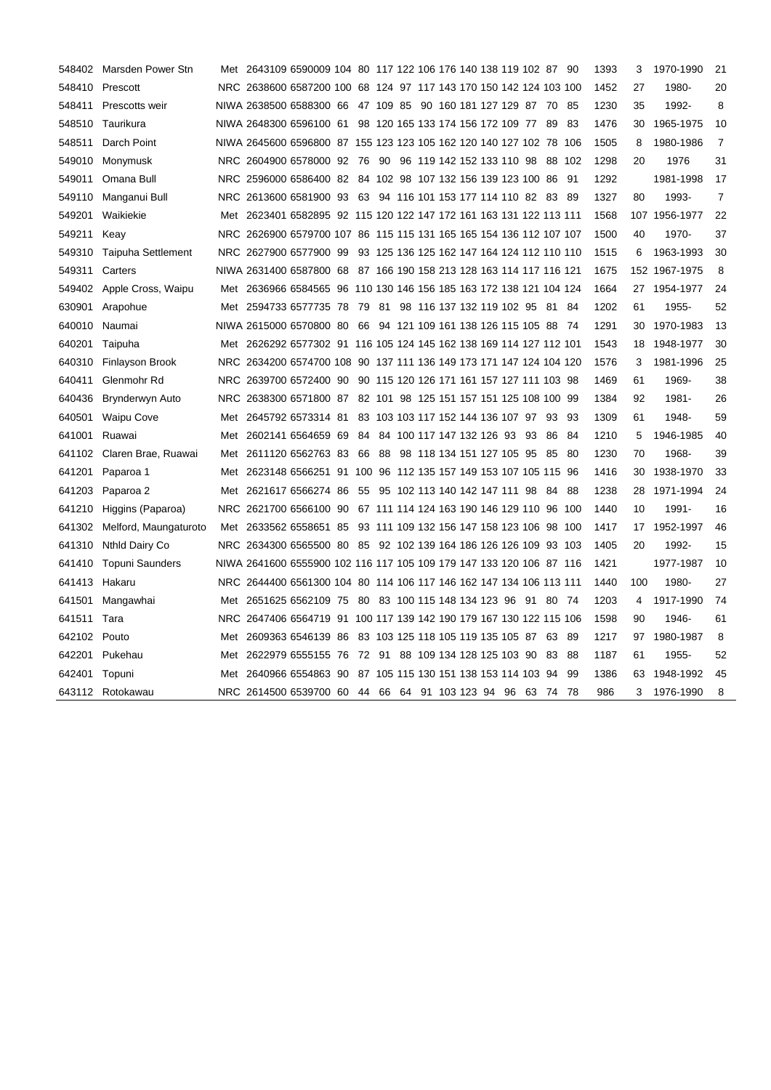|              | 548402 Marsden Power Stn |  | Met 2643109 6590009 104 80 117 122 106 176 140 138 119 102 87 90    |      |  |                                       |  |  |     |      | 1393 | 3   | 1970-1990     | 21             |
|--------------|--------------------------|--|---------------------------------------------------------------------|------|--|---------------------------------------|--|--|-----|------|------|-----|---------------|----------------|
| 548410       | Prescott                 |  | NRC 2638600 6587200 100 68 124 97 117 143 170 150 142 124 103 100   |      |  |                                       |  |  |     |      | 1452 | 27  | 1980-         | 20             |
| 548411       | Prescotts weir           |  | NIWA 2638500 6588300 66 47 109 85 90 160 181 127 129 87 70 85       |      |  |                                       |  |  |     |      | 1230 | 35  | 1992-         | 8              |
| 548510       | Taurikura                |  | NIWA 2648300 6596100 61 98 120 165 133 174 156 172 109 77 89        |      |  |                                       |  |  |     | -83  | 1476 | 30  | 1965-1975     | 10             |
| 548511       | Darch Point              |  | NIWA 2645600 6596800 87 155 123 123 105 162 120 140 127 102 78 106  |      |  |                                       |  |  |     |      | 1505 | 8   | 1980-1986     | $\overline{7}$ |
| 549010       | Monymusk                 |  | NRC 2604900 6578000 92 76 90 96 119 142 152 133 110 98 88 102       |      |  |                                       |  |  |     |      | 1298 | 20  | 1976          | 31             |
| 549011       | Omana Bull               |  | NRC 2596000 6586400 82 84 102 98 107 132 156 139 123 100 86 91      |      |  |                                       |  |  |     |      | 1292 |     | 1981-1998     | 17             |
| 549110       | Manganui Bull            |  | NRC 2613600 6581900 93 63 94 116 101 153 177 114 110 82 83          |      |  |                                       |  |  |     | - 89 | 1327 | 80  | 1993-         | $\overline{7}$ |
| 549201       | Waikiekie                |  | Met 2623401 6582895 92 115 120 122 147 172 161 163 131 122 113 111  |      |  |                                       |  |  |     |      | 1568 |     | 107 1956-1977 | 22             |
| 549211       | Keay                     |  | NRC 2626900 6579700 107 86 115 115 131 165 165 154 136 112 107 107  |      |  |                                       |  |  |     |      | 1500 | 40  | 1970-         | 37             |
| 549310       | Taipuha Settlement       |  | NRC 2627900 6577900 99 93 125 136 125 162 147 164 124 112 110 110   |      |  |                                       |  |  |     |      | 1515 | 6   | 1963-1993     | 30             |
| 549311       | Carters                  |  | NIWA 2631400 6587800 68 87 166 190 158 213 128 163 114 117 116 121  |      |  |                                       |  |  |     |      | 1675 |     | 152 1967-1975 | 8              |
| 549402       | Apple Cross, Waipu       |  | Met 2636966 6584565 96 110 130 146 156 185 163 172 138 121 104 124  |      |  |                                       |  |  |     |      | 1664 | 27  | 1954-1977     | 24             |
| 630901       | Arapohue                 |  | Met 2594733 6577735 78 79 81 98 116 137 132 119 102 95 81 84        |      |  |                                       |  |  |     |      | 1202 | 61  | 1955-         | 52             |
| 640010       | Naumai                   |  | NIWA 2615000 6570800 80 66 94 121 109 161 138 126 115 105 88 74     |      |  |                                       |  |  |     |      | 1291 | 30  | 1970-1983     | 13             |
| 640201       | Taipuha                  |  | Met 2626292 6577302 91 116 105 124 145 162 138 169 114 127 112 101  |      |  |                                       |  |  |     |      | 1543 | 18  | 1948-1977     | 30             |
| 640310       | Finlayson Brook          |  | NRC 2634200 6574700 108 90 137 111 136 149 173 171 147 124 104 120  |      |  |                                       |  |  |     |      | 1576 | 3   | 1981-1996     | 25             |
| 640411       | Glenmohr Rd              |  | NRC 2639700 6572400 90 90 115 120 126 171 161 157 127 111 103 98    |      |  |                                       |  |  |     |      | 1469 | 61  | 1969-         | 38             |
| 640436       | Brynderwyn Auto          |  | NRC 2638300 6571800 87 82 101 98 125 151 157 151 125 108 100 99     |      |  |                                       |  |  |     |      | 1384 | 92  | 1981-         | 26             |
| 640501       | <b>Waipu Cove</b>        |  | Met 2645792 6573314 81 83 103 103 117 152 144 136 107 97 93         |      |  |                                       |  |  |     | 93   | 1309 | 61  | 1948-         | 59             |
| 641001       | Ruawai                   |  | Met 2602141 6564659 69 84 84 100 117 147 132 126 93 93              |      |  |                                       |  |  | 86  | 84   | 1210 | 5   | 1946-1985     | 40             |
| 641102       | Claren Brae, Ruawai      |  | Met 2611120 6562763 83 66 88 98 118 134 151 127 105 95              |      |  |                                       |  |  | -85 | -80  | 1230 | 70  | 1968-         | 39             |
| 641201       | Paparoa 1                |  | Met 2623148 6566251 91 100 96 112 135 157 149 153 107 105 115 96    |      |  |                                       |  |  |     |      | 1416 | 30  | 1938-1970     | 33             |
| 641203       | Paparoa 2                |  | Met 2621617 6566274 86                                              | - 55 |  | 95 102 113 140 142 147 111 98 84      |  |  |     | -88  | 1238 | 28  | 1971-1994     | 24             |
| 641210       | Higgins (Paparoa)        |  | NRC 2621700 6566100 90 67 111 114 124 163 190 146 129 110 96 100    |      |  |                                       |  |  |     |      | 1440 | 10  | 1991-         | 16             |
| 641302       | Melford, Maungaturoto    |  | Met 2633562 6558651 85 93 111 109 132 156 147 158 123 106 98 100    |      |  |                                       |  |  |     |      | 1417 | 17  | 1952-1997     | 46             |
| 641310       | Nthld Dairy Co           |  | NRC 2634300 6565500 80 85 92 102 139 164 186 126 126 109 93 103     |      |  |                                       |  |  |     |      | 1405 | 20  | 1992-         | 15             |
| 641410       | <b>Topuni Saunders</b>   |  | NIWA 2641600 6555900 102 116 117 105 109 179 147 133 120 106 87 116 |      |  |                                       |  |  |     |      | 1421 |     | 1977-1987     | 10             |
| 641413       | Hakaru                   |  | NRC 2644400 6561300 104 80 114 106 117 146 162 147 134 106 113 111  |      |  |                                       |  |  |     |      | 1440 | 100 | 1980-         | 27             |
| 641501       | Mangawhai                |  | Met 2651625 6562109 75 80 83 100 115 148 134 123 96 91 80 74        |      |  |                                       |  |  |     |      | 1203 | 4   | 1917-1990     | 74             |
| 641511       | Tara                     |  | NRC 2647406 6564719 91 100 117 139 142 190 179 167 130 122 115 106  |      |  |                                       |  |  |     |      | 1598 | 90  | 1946-         | 61             |
| 642102 Pouto |                          |  | Met 2609363 6546139 86 83 103 125 118 105 119 135 105 87 63         |      |  |                                       |  |  |     | -89  | 1217 | 97  | 1980-1987     | 8              |
| 642201       | Pukehau                  |  | Met 2622979 6555155 76 72 91 88 109 134 128 125 103 90 83           |      |  |                                       |  |  |     | 88   | 1187 | 61  | 1955-         | 52             |
| 642401       | Topuni                   |  | Met 2640966 6554863 90                                              |      |  | 87 105 115 130 151 138 153 114 103 94 |  |  |     | 99   | 1386 | 63  | 1948-1992     | 45             |
|              | 643112 Rotokawau         |  | NRC 2614500 6539700 60 44 66 64 91 103 123 94 96 63 74 78           |      |  |                                       |  |  |     |      | 986  | 3   | 1976-1990     | 8              |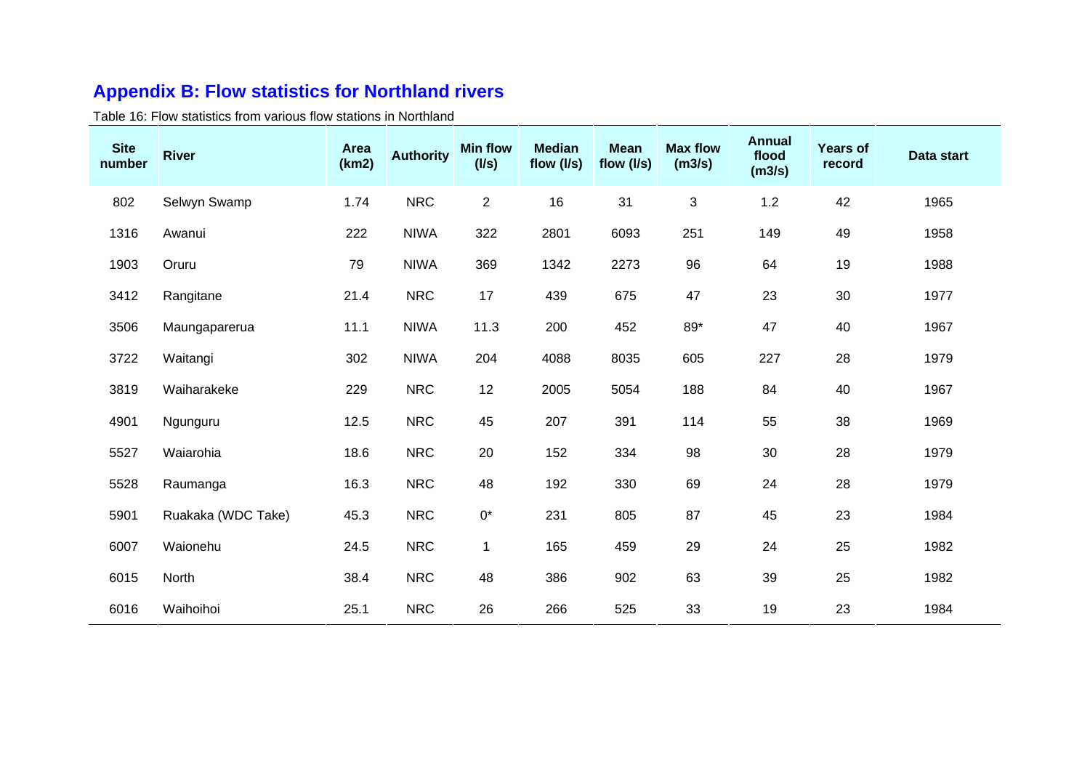## **Appendix B: Flow statistics for Northland rivers**

Table 16: Flow statistics from various flow stations in Northland

| <b>Site</b><br>number | <b>River</b>       | Area<br>(km2) | <b>Authority</b> | <b>Min flow</b><br>(1/s) | <b>Median</b><br>flow $(1/s)$ | <b>Mean</b><br>flow $(1/s)$ | <b>Max flow</b><br>(m3/s) | <b>Annual</b><br>flood<br>(m3/s) | <b>Years of</b><br>record | Data start |
|-----------------------|--------------------|---------------|------------------|--------------------------|-------------------------------|-----------------------------|---------------------------|----------------------------------|---------------------------|------------|
| 802                   | Selwyn Swamp       | 1.74          | <b>NRC</b>       | $\overline{2}$           | 16                            | 31                          | $\mathbf{3}$              | $1.2$                            | 42                        | 1965       |
| 1316                  | Awanui             | 222           | <b>NIWA</b>      | 322                      | 2801                          | 6093                        | 251                       | 149                              | 49                        | 1958       |
| 1903                  | Oruru              | 79            | <b>NIWA</b>      | 369                      | 1342                          | 2273                        | 96                        | 64                               | 19                        | 1988       |
| 3412                  | Rangitane          | 21.4          | <b>NRC</b>       | 17                       | 439                           | 675                         | 47                        | 23                               | 30                        | 1977       |
| 3506                  | Maungaparerua      | 11.1          | <b>NIWA</b>      | 11.3                     | 200                           | 452                         | 89*                       | 47                               | 40                        | 1967       |
| 3722                  | Waitangi           | 302           | <b>NIWA</b>      | 204                      | 4088                          | 8035                        | 605                       | 227                              | 28                        | 1979       |
| 3819                  | Waiharakeke        | 229           | <b>NRC</b>       | 12                       | 2005                          | 5054                        | 188                       | 84                               | 40                        | 1967       |
| 4901                  | Ngunguru           | 12.5          | <b>NRC</b>       | 45                       | 207                           | 391                         | 114                       | 55                               | 38                        | 1969       |
| 5527                  | Waiarohia          | 18.6          | <b>NRC</b>       | 20                       | 152                           | 334                         | 98                        | 30                               | 28                        | 1979       |
| 5528                  | Raumanga           | 16.3          | <b>NRC</b>       | 48                       | 192                           | 330                         | 69                        | 24                               | 28                        | 1979       |
| 5901                  | Ruakaka (WDC Take) | 45.3          | <b>NRC</b>       | $0^\star$                | 231                           | 805                         | 87                        | 45                               | 23                        | 1984       |
| 6007                  | Waionehu           | 24.5          | <b>NRC</b>       | $\mathbf{1}$             | 165                           | 459                         | 29                        | 24                               | 25                        | 1982       |
| 6015                  | North              | 38.4          | <b>NRC</b>       | 48                       | 386                           | 902                         | 63                        | 39                               | 25                        | 1982       |
| 6016                  | Waihoihoi          | 25.1          | <b>NRC</b>       | 26                       | 266                           | 525                         | 33                        | 19                               | 23                        | 1984       |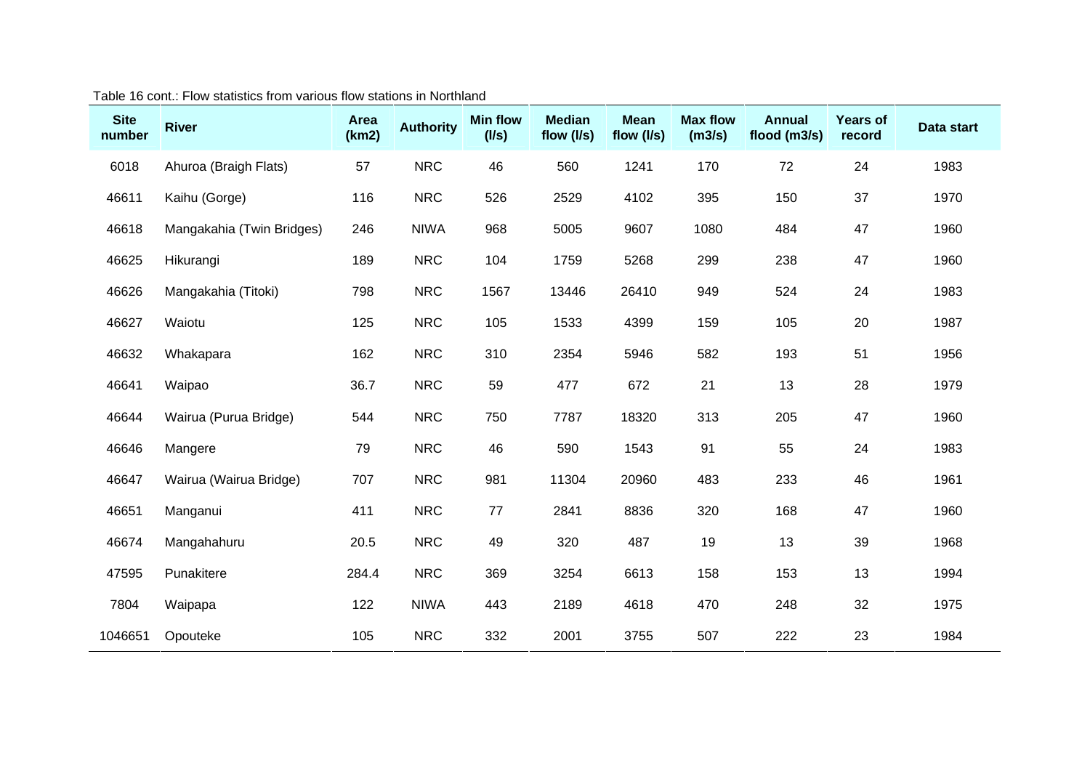| <b>Site</b><br>number | <b>River</b>              | Area<br>(km2) | <b>Authority</b> | <b>Min flow</b><br>(1/s) | <b>Median</b><br>flow $(1/s)$ | <b>Mean</b><br>flow $(1/s)$ | <b>Max flow</b><br>(m3/s) | <b>Annual</b><br>flood $(m3/s)$ | <b>Years of</b><br>record | Data start |
|-----------------------|---------------------------|---------------|------------------|--------------------------|-------------------------------|-----------------------------|---------------------------|---------------------------------|---------------------------|------------|
| 6018                  | Ahuroa (Braigh Flats)     | 57            | <b>NRC</b>       | 46                       | 560                           | 1241                        | 170                       | 72                              | 24                        | 1983       |
| 46611                 | Kaihu (Gorge)             | 116           | <b>NRC</b>       | 526                      | 2529                          | 4102                        | 395                       | 150                             | 37                        | 1970       |
| 46618                 | Mangakahia (Twin Bridges) | 246           | <b>NIWA</b>      | 968                      | 5005                          | 9607                        | 1080                      | 484                             | 47                        | 1960       |
| 46625                 | Hikurangi                 | 189           | <b>NRC</b>       | 104                      | 1759                          | 5268                        | 299                       | 238                             | 47                        | 1960       |
| 46626                 | Mangakahia (Titoki)       | 798           | <b>NRC</b>       | 1567                     | 13446                         | 26410                       | 949                       | 524                             | 24                        | 1983       |
| 46627                 | Waiotu                    | 125           | <b>NRC</b>       | 105                      | 1533                          | 4399                        | 159                       | 105                             | 20                        | 1987       |
| 46632                 | Whakapara                 | 162           | <b>NRC</b>       | 310                      | 2354                          | 5946                        | 582                       | 193                             | 51                        | 1956       |
| 46641                 | Waipao                    | 36.7          | <b>NRC</b>       | 59                       | 477                           | 672                         | 21                        | 13                              | 28                        | 1979       |
| 46644                 | Wairua (Purua Bridge)     | 544           | <b>NRC</b>       | 750                      | 7787                          | 18320                       | 313                       | 205                             | 47                        | 1960       |
| 46646                 | Mangere                   | 79            | <b>NRC</b>       | 46                       | 590                           | 1543                        | 91                        | 55                              | 24                        | 1983       |
| 46647                 | Wairua (Wairua Bridge)    | 707           | <b>NRC</b>       | 981                      | 11304                         | 20960                       | 483                       | 233                             | 46                        | 1961       |
| 46651                 | Manganui                  | 411           | <b>NRC</b>       | 77                       | 2841                          | 8836                        | 320                       | 168                             | 47                        | 1960       |
| 46674                 | Mangahahuru               | 20.5          | <b>NRC</b>       | 49                       | 320                           | 487                         | 19                        | 13                              | 39                        | 1968       |
| 47595                 | Punakitere                | 284.4         | <b>NRC</b>       | 369                      | 3254                          | 6613                        | 158                       | 153                             | 13                        | 1994       |
| 7804                  | Waipapa                   | 122           | <b>NIWA</b>      | 443                      | 2189                          | 4618                        | 470                       | 248                             | 32                        | 1975       |
| 1046651               | Opouteke                  | 105           | <b>NRC</b>       | 332                      | 2001                          | 3755                        | 507                       | 222                             | 23                        | 1984       |

#### Table 16 cont.: Flow statistics from various flow stations in Northland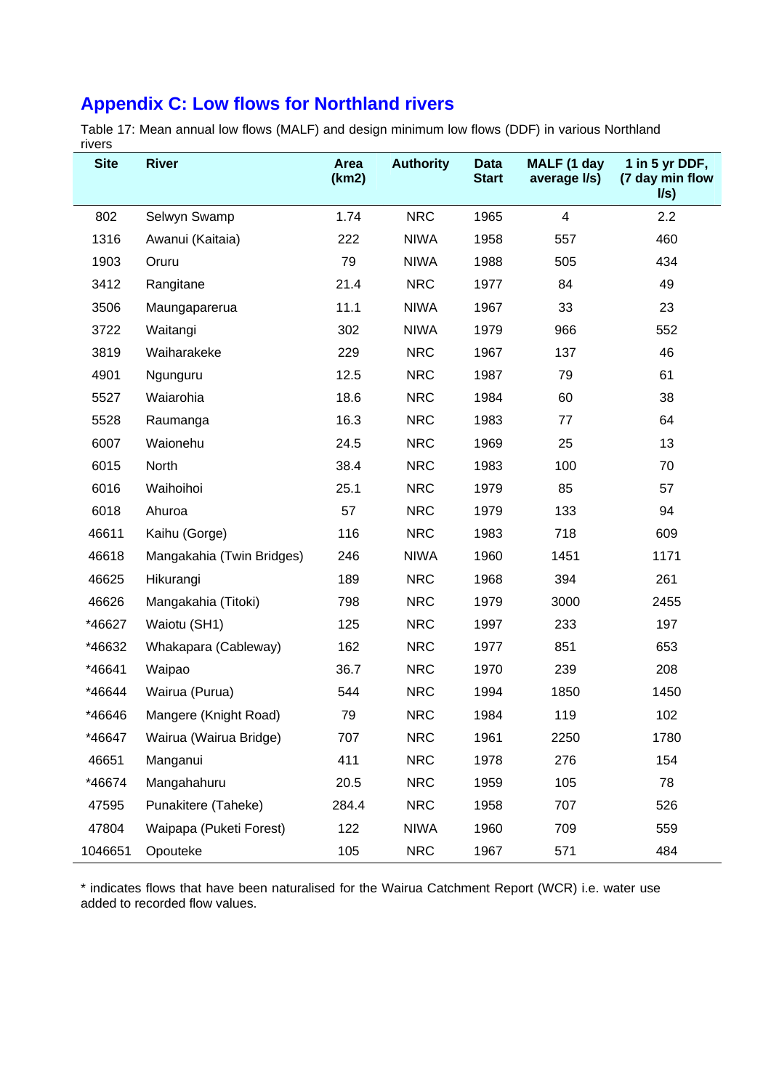## **Appendix C: Low flows for Northland rivers**

Table 17: Mean annual low flows (MALF) and design minimum low flows (DDF) in various Northland rivers

| <b>Site</b> | <b>River</b>              | Area<br>(km2) | <b>Authority</b> | <b>Data</b><br><b>Start</b> | MALF (1 day<br>average I/s) | 1 in 5 yr DDF,<br>(7 day min flow<br>I/s) |
|-------------|---------------------------|---------------|------------------|-----------------------------|-----------------------------|-------------------------------------------|
| 802         | Selwyn Swamp              | 1.74          | <b>NRC</b>       | 1965                        | $\overline{4}$              | 2.2                                       |
| 1316        | Awanui (Kaitaia)          | 222           | <b>NIWA</b>      | 1958                        | 557                         | 460                                       |
| 1903        | Oruru                     | 79            | <b>NIWA</b>      | 1988                        | 505                         | 434                                       |
| 3412        | Rangitane                 | 21.4          | <b>NRC</b>       | 1977                        | 84                          | 49                                        |
| 3506        | Maungaparerua             | 11.1          | <b>NIWA</b>      | 1967                        | 33                          | 23                                        |
| 3722        | Waitangi                  | 302           | <b>NIWA</b>      | 1979                        | 966                         | 552                                       |
| 3819        | Waiharakeke               | 229           | <b>NRC</b>       | 1967                        | 137                         | 46                                        |
| 4901        | Ngunguru                  | 12.5          | <b>NRC</b>       | 1987                        | 79                          | 61                                        |
| 5527        | Waiarohia                 | 18.6          | <b>NRC</b>       | 1984                        | 60                          | 38                                        |
| 5528        | Raumanga                  | 16.3          | <b>NRC</b>       | 1983                        | 77                          | 64                                        |
| 6007        | Waionehu                  | 24.5          | <b>NRC</b>       | 1969                        | 25                          | 13                                        |
| 6015        | North                     | 38.4          | <b>NRC</b>       | 1983                        | 100                         | 70                                        |
| 6016        | Waihoihoi                 | 25.1          | <b>NRC</b>       | 1979                        | 85                          | 57                                        |
| 6018        | Ahuroa                    | 57            | <b>NRC</b>       | 1979                        | 133                         | 94                                        |
| 46611       | Kaihu (Gorge)             | 116           | <b>NRC</b>       | 1983                        | 718                         | 609                                       |
| 46618       | Mangakahia (Twin Bridges) | 246           | <b>NIWA</b>      | 1960                        | 1451                        | 1171                                      |
| 46625       | Hikurangi                 | 189           | <b>NRC</b>       | 1968                        | 394                         | 261                                       |
| 46626       | Mangakahia (Titoki)       | 798           | <b>NRC</b>       | 1979                        | 3000                        | 2455                                      |
| *46627      | Waiotu (SH1)              | 125           | <b>NRC</b>       | 1997                        | 233                         | 197                                       |
| *46632      | Whakapara (Cableway)      | 162           | <b>NRC</b>       | 1977                        | 851                         | 653                                       |
| *46641      | Waipao                    | 36.7          | <b>NRC</b>       | 1970                        | 239                         | 208                                       |
| *46644      | Wairua (Purua)            | 544           | <b>NRC</b>       | 1994                        | 1850                        | 1450                                      |
| *46646      | Mangere (Knight Road)     | 79            | <b>NRC</b>       | 1984                        | 119                         | 102                                       |
| *46647      | Wairua (Wairua Bridge)    | 707           | <b>NRC</b>       | 1961                        | 2250                        | 1780                                      |
| 46651       | Manganui                  | 411           | <b>NRC</b>       | 1978                        | 276                         | 154                                       |
| *46674      | Mangahahuru               | 20.5          | <b>NRC</b>       | 1959                        | 105                         | 78                                        |
| 47595       | Punakitere (Taheke)       | 284.4         | <b>NRC</b>       | 1958                        | 707                         | 526                                       |
| 47804       | Waipapa (Puketi Forest)   | 122           | <b>NIWA</b>      | 1960                        | 709                         | 559                                       |
| 1046651     | Opouteke                  | 105           | <b>NRC</b>       | 1967                        | 571                         | 484                                       |

\* indicates flows that have been naturalised for the Wairua Catchment Report (WCR) i.e. water use added to recorded flow values.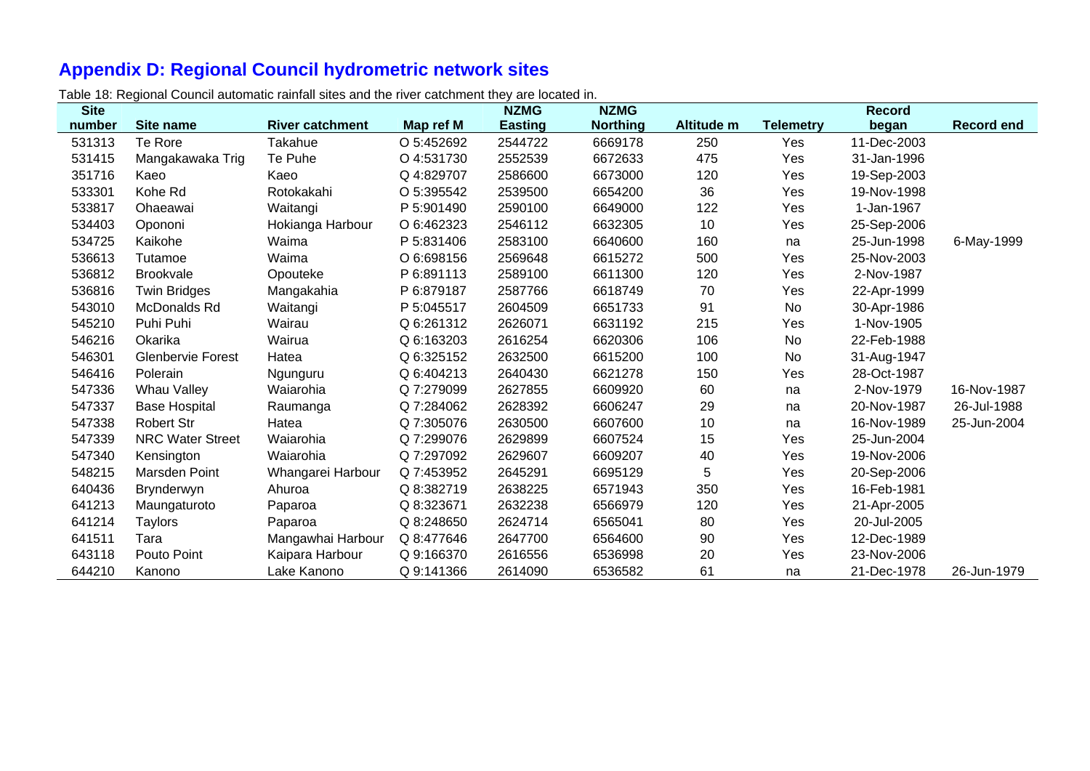## **Appendix D: Regional Council hydrometric network sites**

Table 18: Regional Council automatic rainfall sites and the river catchment they are located in.

| <b>Site</b> |                          | able for regional countries and names and the more calculing in the possible in |            | <b>NZMG</b>    | <b>NZMG</b>     |            |                  | <b>Record</b> |                   |
|-------------|--------------------------|---------------------------------------------------------------------------------|------------|----------------|-----------------|------------|------------------|---------------|-------------------|
| number      | Site name                | <b>River catchment</b>                                                          | Map ref M  | <b>Easting</b> | <b>Northing</b> | Altitude m | <b>Telemetry</b> | began         | <b>Record end</b> |
| 531313      | Te Rore                  | Takahue                                                                         | O 5:452692 | 2544722        | 6669178         | 250        | Yes              | 11-Dec-2003   |                   |
| 531415      | Mangakawaka Trig         | Te Puhe                                                                         | O 4:531730 | 2552539        | 6672633         | 475        | Yes              | 31-Jan-1996   |                   |
| 351716      | Kaeo                     | Kaeo                                                                            | Q 4:829707 | 2586600        | 6673000         | 120        | Yes              | 19-Sep-2003   |                   |
| 533301      | Kohe Rd                  | Rotokakahi                                                                      | O 5:395542 | 2539500        | 6654200         | 36         | Yes              | 19-Nov-1998   |                   |
| 533817      | Ohaeawai                 | Waitangi                                                                        | P 5:901490 | 2590100        | 6649000         | 122        | Yes              | 1-Jan-1967    |                   |
| 534403      | Opononi                  | Hokianga Harbour                                                                | O 6:462323 | 2546112        | 6632305         | 10         | Yes              | 25-Sep-2006   |                   |
| 534725      | Kaikohe                  | Waima                                                                           | P 5:831406 | 2583100        | 6640600         | 160        | na               | 25-Jun-1998   | 6-May-1999        |
| 536613      | Tutamoe                  | Waima                                                                           | O 6:698156 | 2569648        | 6615272         | 500        | Yes              | 25-Nov-2003   |                   |
| 536812      | <b>Brookvale</b>         | Opouteke                                                                        | P 6:891113 | 2589100        | 6611300         | 120        | Yes              | 2-Nov-1987    |                   |
| 536816      | <b>Twin Bridges</b>      | Mangakahia                                                                      | P 6:879187 | 2587766        | 6618749         | 70         | Yes              | 22-Apr-1999   |                   |
| 543010      | McDonalds Rd             | Waitangi                                                                        | P 5:045517 | 2604509        | 6651733         | 91         | No               | 30-Apr-1986   |                   |
| 545210      | Puhi Puhi                | Wairau                                                                          | Q 6:261312 | 2626071        | 6631192         | 215        | Yes              | 1-Nov-1905    |                   |
| 546216      | Okarika                  | Wairua                                                                          | Q 6:163203 | 2616254        | 6620306         | 106        | No               | 22-Feb-1988   |                   |
| 546301      | <b>Glenbervie Forest</b> | Hatea                                                                           | Q 6:325152 | 2632500        | 6615200         | 100        | No               | 31-Aug-1947   |                   |
| 546416      | Polerain                 | Ngunguru                                                                        | Q 6:404213 | 2640430        | 6621278         | 150        | Yes              | 28-Oct-1987   |                   |
| 547336      | <b>Whau Valley</b>       | Waiarohia                                                                       | Q 7:279099 | 2627855        | 6609920         | 60         | na               | 2-Nov-1979    | 16-Nov-1987       |
| 547337      | <b>Base Hospital</b>     | Raumanga                                                                        | Q 7:284062 | 2628392        | 6606247         | 29         | na               | 20-Nov-1987   | 26-Jul-1988       |
| 547338      | <b>Robert Str</b>        | Hatea                                                                           | Q 7:305076 | 2630500        | 6607600         | 10         | na               | 16-Nov-1989   | 25-Jun-2004       |
| 547339      | <b>NRC Water Street</b>  | Waiarohia                                                                       | Q 7:299076 | 2629899        | 6607524         | 15         | Yes              | 25-Jun-2004   |                   |
| 547340      | Kensington               | Waiarohia                                                                       | Q 7:297092 | 2629607        | 6609207         | 40         | Yes              | 19-Nov-2006   |                   |
| 548215      | Marsden Point            | Whangarei Harbour                                                               | Q 7:453952 | 2645291        | 6695129         | 5          | Yes              | 20-Sep-2006   |                   |
| 640436      | Brynderwyn               | Ahuroa                                                                          | Q 8:382719 | 2638225        | 6571943         | 350        | Yes              | 16-Feb-1981   |                   |
| 641213      | Maungaturoto             | Paparoa                                                                         | Q 8:323671 | 2632238        | 6566979         | 120        | Yes              | 21-Apr-2005   |                   |
| 641214      | Taylors                  | Paparoa                                                                         | Q 8:248650 | 2624714        | 6565041         | 80         | Yes              | 20-Jul-2005   |                   |
| 641511      | Tara                     | Mangawhai Harbour                                                               | Q 8:477646 | 2647700        | 6564600         | 90         | Yes              | 12-Dec-1989   |                   |
| 643118      | Pouto Point              | Kaipara Harbour                                                                 | Q 9:166370 | 2616556        | 6536998         | 20         | Yes              | 23-Nov-2006   |                   |
| 644210      | Kanono                   | Lake Kanono                                                                     | Q 9:141366 | 2614090        | 6536582         | 61         | na               | 21-Dec-1978   | 26-Jun-1979       |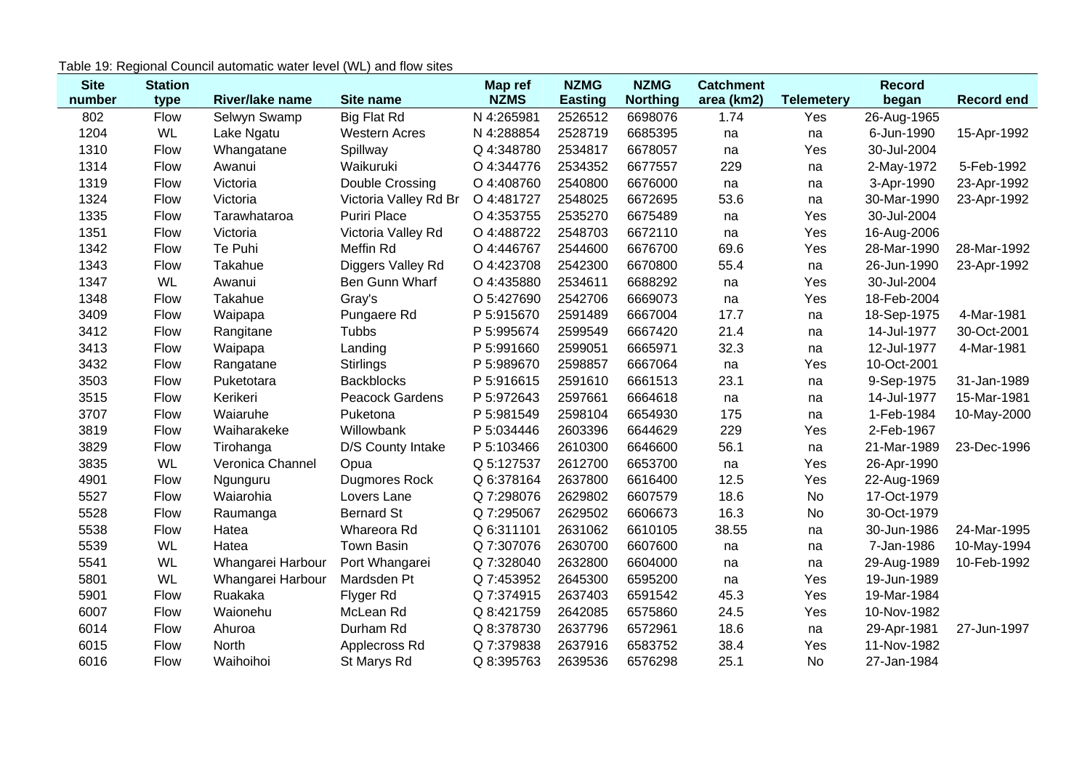#### Table 19: Regional Council automatic water level (WL) and flow sites

| <b>Site</b>   | <b>Station</b> | River/lake name          | <b>Site name</b>                      | Map ref<br><b>NZMS</b> | <b>NZMG</b><br><b>Easting</b> | <b>NZMG</b><br><b>Northing</b> | <b>Catchment</b><br>area (km2) | <b>Telemetery</b> | <b>Record</b><br>began     | <b>Record end</b> |
|---------------|----------------|--------------------------|---------------------------------------|------------------------|-------------------------------|--------------------------------|--------------------------------|-------------------|----------------------------|-------------------|
| number<br>802 | type<br>Flow   | Selwyn Swamp             | <b>Big Flat Rd</b>                    | N 4:265981             | 2526512                       | 6698076                        | 1.74                           | Yes               | 26-Aug-1965                |                   |
| 1204          | WL             | Lake Ngatu               | <b>Western Acres</b>                  | N 4:288854             | 2528719                       | 6685395                        | na                             | na                | 6-Jun-1990                 | 15-Apr-1992       |
| 1310          | Flow           | Whangatane               | Spillway                              | Q 4:348780             | 2534817                       | 6678057                        |                                | Yes               | 30-Jul-2004                |                   |
| 1314          | Flow           | Awanui                   | Waikuruki                             | O 4:344776             | 2534352                       | 6677557                        | na<br>229                      |                   | 2-May-1972                 | 5-Feb-1992        |
| 1319          | Flow           | Victoria                 | Double Crossing                       | O 4:408760             | 2540800                       | 6676000                        |                                | na                |                            |                   |
|               |                |                          |                                       |                        | 2548025                       | 6672695                        | na                             | na                | 3-Apr-1990                 | 23-Apr-1992       |
| 1324          | Flow           | Victoria<br>Tarawhataroa | Victoria Valley Rd Br<br>Puriri Place | O 4:481727             | 2535270                       |                                | 53.6                           | na<br>Yes         | 30-Mar-1990<br>30-Jul-2004 | 23-Apr-1992       |
| 1335          | Flow           |                          |                                       | O 4:353755             |                               | 6675489                        | na                             |                   |                            |                   |
| 1351          | Flow           | Victoria                 | Victoria Valley Rd                    | O 4:488722             | 2548703                       | 6672110                        | na                             | Yes               | 16-Aug-2006                |                   |
| 1342          | Flow           | Te Puhi                  | Meffin Rd                             | O 4:446767             | 2544600                       | 6676700                        | 69.6                           | Yes               | 28-Mar-1990                | 28-Mar-1992       |
| 1343          | <b>Flow</b>    | Takahue                  | Diggers Valley Rd                     | O 4:423708             | 2542300                       | 6670800                        | 55.4                           | na                | 26-Jun-1990                | 23-Apr-1992       |
| 1347          | <b>WL</b>      | Awanui                   | Ben Gunn Wharf                        | O 4:435880             | 2534611                       | 6688292                        | na                             | Yes               | 30-Jul-2004                |                   |
| 1348          | Flow           | Takahue                  | Gray's                                | O 5:427690             | 2542706                       | 6669073                        | na                             | Yes               | 18-Feb-2004                |                   |
| 3409          | Flow           | Waipapa                  | Pungaere Rd                           | P 5:915670             | 2591489                       | 6667004                        | 17.7                           | na                | 18-Sep-1975                | 4-Mar-1981        |
| 3412          | Flow           | Rangitane                | Tubbs                                 | P 5:995674             | 2599549                       | 6667420                        | 21.4                           | na                | 14-Jul-1977                | 30-Oct-2001       |
| 3413          | Flow           | Waipapa                  | Landing                               | P 5:991660             | 2599051                       | 6665971                        | 32.3                           | na                | 12-Jul-1977                | 4-Mar-1981        |
| 3432          | Flow           | Rangatane                | <b>Stirlings</b>                      | P 5:989670             | 2598857                       | 6667064                        | na                             | Yes               | 10-Oct-2001                |                   |
| 3503          | Flow           | Puketotara               | <b>Backblocks</b>                     | P 5:916615             | 2591610                       | 6661513                        | 23.1                           | na                | 9-Sep-1975                 | 31-Jan-1989       |
| 3515          | Flow           | Kerikeri                 | <b>Peacock Gardens</b>                | P 5:972643             | 2597661                       | 6664618                        | na                             | na                | 14-Jul-1977                | 15-Mar-1981       |
| 3707          | Flow           | Waiaruhe                 | Puketona                              | P 5:981549             | 2598104                       | 6654930                        | 175                            | na                | 1-Feb-1984                 | 10-May-2000       |
| 3819          | Flow           | Waiharakeke              | Willowbank                            | P 5:034446             | 2603396                       | 6644629                        | 229                            | Yes               | 2-Feb-1967                 |                   |
| 3829          | <b>Flow</b>    | Tirohanga                | D/S County Intake                     | P 5:103466             | 2610300                       | 6646600                        | 56.1                           | na                | 21-Mar-1989                | 23-Dec-1996       |
| 3835          | WL             | Veronica Channel         | Opua                                  | Q 5:127537             | 2612700                       | 6653700                        | na                             | Yes               | 26-Apr-1990                |                   |
| 4901          | Flow           | Ngunguru                 | Dugmores Rock                         | Q 6:378164             | 2637800                       | 6616400                        | 12.5                           | Yes               | 22-Aug-1969                |                   |
| 5527          | Flow           | Waiarohia                | Lovers Lane                           | Q 7:298076             | 2629802                       | 6607579                        | 18.6                           | No                | 17-Oct-1979                |                   |
| 5528          | <b>Flow</b>    | Raumanga                 | <b>Bernard St</b>                     | Q 7:295067             | 2629502                       | 6606673                        | 16.3                           | No                | 30-Oct-1979                |                   |
| 5538          | Flow           | Hatea                    | Whareora Rd                           | Q 6:311101             | 2631062                       | 6610105                        | 38.55                          | na                | 30-Jun-1986                | 24-Mar-1995       |
| 5539          | <b>WL</b>      | Hatea                    | <b>Town Basin</b>                     | Q 7:307076             | 2630700                       | 6607600                        | na                             | na                | 7-Jan-1986                 | 10-May-1994       |
| 5541          | <b>WL</b>      | Whangarei Harbour        | Port Whangarei                        | Q 7:328040             | 2632800                       | 6604000                        | na                             | na                | 29-Aug-1989                | 10-Feb-1992       |
| 5801          | <b>WL</b>      | Whangarei Harbour        | Mardsden Pt                           | Q 7:453952             | 2645300                       | 6595200                        | na                             | Yes               | 19-Jun-1989                |                   |
| 5901          | Flow           | Ruakaka                  | Flyger Rd                             | Q 7:374915             | 2637403                       | 6591542                        | 45.3                           | Yes               | 19-Mar-1984                |                   |
| 6007          | Flow           | Waionehu                 | McLean Rd                             | Q 8:421759             | 2642085                       | 6575860                        | 24.5                           | Yes               | 10-Nov-1982                |                   |
| 6014          | <b>Flow</b>    | Ahuroa                   | Durham Rd                             | Q 8:378730             | 2637796                       | 6572961                        | 18.6                           | na                | 29-Apr-1981                | 27-Jun-1997       |
| 6015          | <b>Flow</b>    | North                    | Applecross Rd                         | Q 7:379838             | 2637916                       | 6583752                        | 38.4                           | Yes               | 11-Nov-1982                |                   |
| 6016          | <b>Flow</b>    | Waihoihoi                | St Marys Rd                           | Q 8:395763             | 2639536                       | 6576298                        | 25.1                           | <b>No</b>         | 27-Jan-1984                |                   |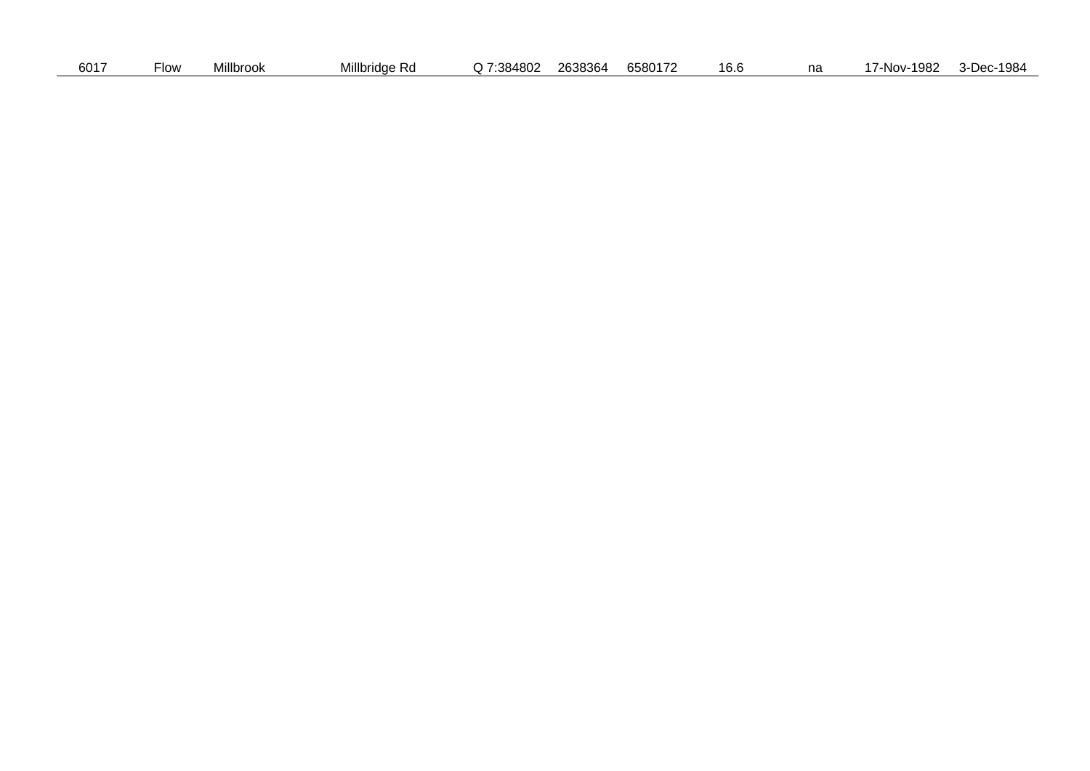| 601 | rlov1 | Iilibrook | .<br>'Ilbridae Rd | 7:384802 | 2638364 | 6580172 | 16.6 | na | 7-Nov-1982 | 3-Dec-1984 |
|-----|-------|-----------|-------------------|----------|---------|---------|------|----|------------|------------|
|     |       |           |                   |          |         |         |      |    |            |            |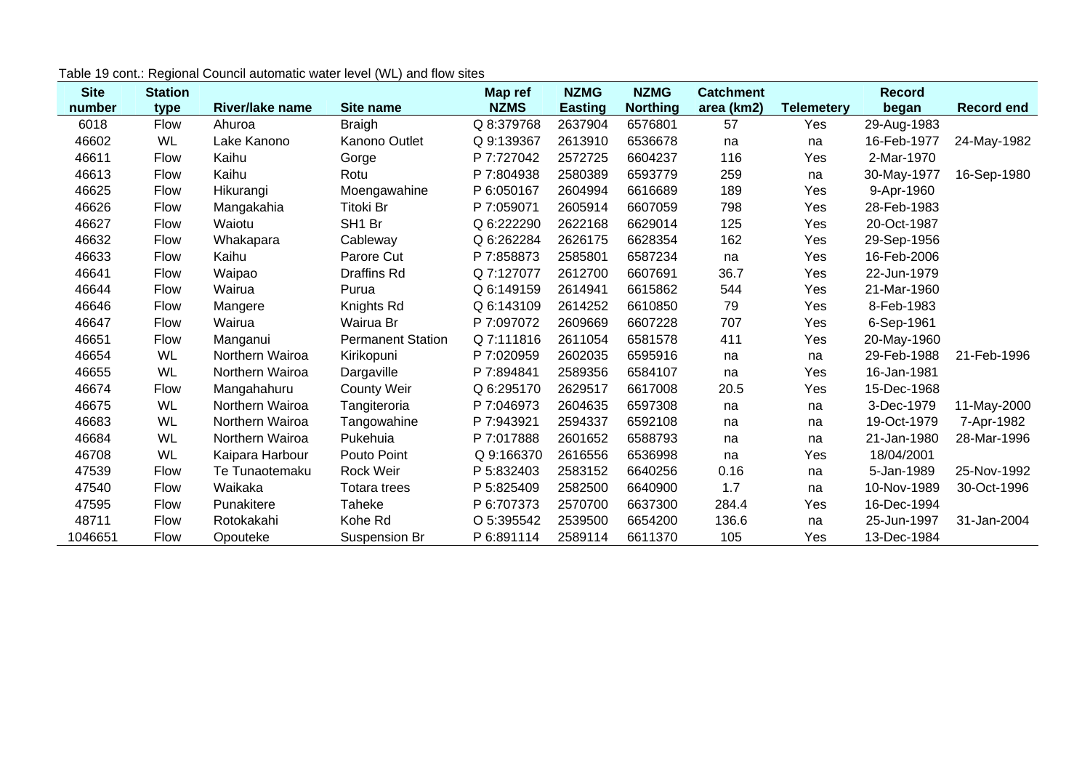| <b>Site</b> | <b>Station</b> |                 |                          | Map ref     | <b>NZMG</b>    | <b>NZMG</b>     | <b>Catchment</b> |                   | <b>Record</b> |                   |
|-------------|----------------|-----------------|--------------------------|-------------|----------------|-----------------|------------------|-------------------|---------------|-------------------|
| number      | type           | River/lake name | <b>Site name</b>         | <b>NZMS</b> | <b>Easting</b> | <b>Northing</b> | area (km2)       | <b>Telemetery</b> | began         | <b>Record end</b> |
| 6018        | <b>Flow</b>    | Ahuroa          | <b>Braigh</b>            | Q 8:379768  | 2637904        | 6576801         | 57               | Yes               | 29-Aug-1983   |                   |
| 46602       | WL             | Lake Kanono     | Kanono Outlet            | Q 9:139367  | 2613910        | 6536678         | na               | na                | 16-Feb-1977   | 24-May-1982       |
| 46611       | <b>Flow</b>    | Kaihu           | Gorge                    | P 7:727042  | 2572725        | 6604237         | 116              | Yes               | 2-Mar-1970    |                   |
| 46613       | <b>Flow</b>    | Kaihu           | Rotu                     | P 7:804938  | 2580389        | 6593779         | 259              | na                | 30-May-1977   | 16-Sep-1980       |
| 46625       | <b>Flow</b>    | Hikurangi       | Moengawahine             | P 6:050167  | 2604994        | 6616689         | 189              | Yes               | 9-Apr-1960    |                   |
| 46626       | <b>Flow</b>    | Mangakahia      | <b>Titoki Br</b>         | P 7:059071  | 2605914        | 6607059         | 798              | Yes               | 28-Feb-1983   |                   |
| 46627       | <b>Flow</b>    | Waiotu          | SH1 Br                   | Q 6:222290  | 2622168        | 6629014         | 125              | Yes               | 20-Oct-1987   |                   |
| 46632       | <b>Flow</b>    | Whakapara       | Cableway                 | Q 6:262284  | 2626175        | 6628354         | 162              | Yes               | 29-Sep-1956   |                   |
| 46633       | <b>Flow</b>    | Kaihu           | Parore Cut               | P 7:858873  | 2585801        | 6587234         | na               | Yes               | 16-Feb-2006   |                   |
| 46641       | <b>Flow</b>    | Waipao          | Draffins Rd              | Q 7:127077  | 2612700        | 6607691         | 36.7             | Yes               | 22-Jun-1979   |                   |
| 46644       | Flow           | Wairua          | Purua                    | Q 6:149159  | 2614941        | 6615862         | 544              | Yes               | 21-Mar-1960   |                   |
| 46646       | <b>Flow</b>    | Mangere         | Knights Rd               | Q 6:143109  | 2614252        | 6610850         | 79               | Yes               | 8-Feb-1983    |                   |
| 46647       | Flow           | Wairua          | Wairua Br                | P 7:097072  | 2609669        | 6607228         | 707              | Yes               | 6-Sep-1961    |                   |
| 46651       | <b>Flow</b>    | Manganui        | <b>Permanent Station</b> | Q 7:111816  | 2611054        | 6581578         | 411              | Yes               | 20-May-1960   |                   |
| 46654       | <b>WL</b>      | Northern Wairoa | Kirikopuni               | P 7:020959  | 2602035        | 6595916         | na               | na                | 29-Feb-1988   | 21-Feb-1996       |
| 46655       | WL             | Northern Wairoa | Dargaville               | P 7:894841  | 2589356        | 6584107         | na               | Yes               | 16-Jan-1981   |                   |
| 46674       | <b>Flow</b>    | Mangahahuru     | <b>County Weir</b>       | Q 6:295170  | 2629517        | 6617008         | 20.5             | Yes               | 15-Dec-1968   |                   |
| 46675       | <b>WL</b>      | Northern Wairoa | Tangiteroria             | P 7:046973  | 2604635        | 6597308         | na               | na                | 3-Dec-1979    | 11-May-2000       |
| 46683       | WL             | Northern Wairoa | Tangowahine              | P 7:943921  | 2594337        | 6592108         | na               | na                | 19-Oct-1979   | 7-Apr-1982        |
| 46684       | <b>WL</b>      | Northern Wairoa | Pukehuia                 | P 7:017888  | 2601652        | 6588793         | na               | na                | 21-Jan-1980   | 28-Mar-1996       |
| 46708       | <b>WL</b>      | Kaipara Harbour | Pouto Point              | Q 9:166370  | 2616556        | 6536998         | na               | Yes               | 18/04/2001    |                   |
| 47539       | <b>Flow</b>    | Te Tunaotemaku  | <b>Rock Weir</b>         | P 5:832403  | 2583152        | 6640256         | 0.16             | na                | 5-Jan-1989    | 25-Nov-1992       |
| 47540       | <b>Flow</b>    | Waikaka         | Totara trees             | P 5:825409  | 2582500        | 6640900         | 1.7              | na                | 10-Nov-1989   | 30-Oct-1996       |
| 47595       | <b>Flow</b>    | Punakitere      | Taheke                   | P 6:707373  | 2570700        | 6637300         | 284.4            | Yes               | 16-Dec-1994   |                   |
| 48711       | <b>Flow</b>    | Rotokakahi      | Kohe Rd                  | O 5:395542  | 2539500        | 6654200         | 136.6            | na                | 25-Jun-1997   | 31-Jan-2004       |
| 1046651     | Flow           | Opouteke        | Suspension Br            | P 6:891114  | 2589114        | 6611370         | 105              | Yes               | 13-Dec-1984   |                   |

### Table 19 cont.: Regional Council automatic water level (WL) and flow sites